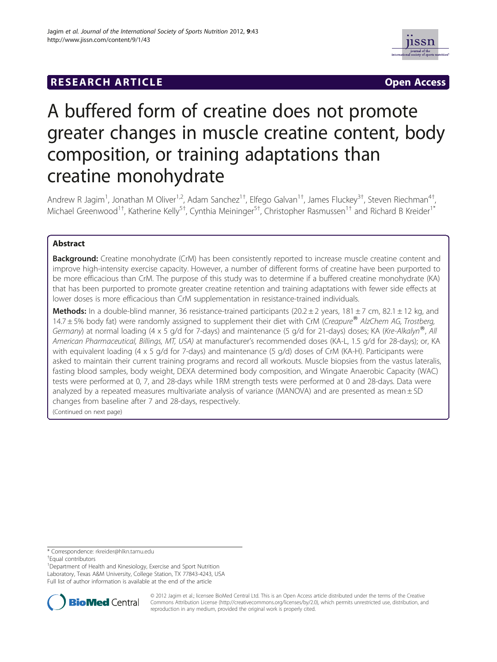# **RESEARCH ARTICLE Example 2014 12:30 THE Open Access**



# A buffered form of creatine does not promote greater changes in muscle creatine content, body composition, or training adaptations than creatine monohydrate

Andrew R Jagim<sup>1</sup>, Jonathan M Oliver<sup>1,2</sup>, Adam Sanchez<sup>1†</sup>, Elfego Galvan<sup>1†</sup>, James Fluckey<sup>3†</sup>, Steven Riechman<sup>4†</sup> , Michael Greenwood<sup>1†</sup>, Katherine Kelly<sup>5†</sup>, Cynthia Meininger<sup>5†</sup>, Christopher Rasmussen<sup>1†</sup> and Richard B Kreider<sup>1\*</sup>

# Abstract

Background: Creatine monohydrate (CrM) has been consistently reported to increase muscle creatine content and improve high-intensity exercise capacity. However, a number of different forms of creatine have been purported to be more efficacious than CrM. The purpose of this study was to determine if a buffered creatine monohydrate (KA) that has been purported to promote greater creatine retention and training adaptations with fewer side effects at lower doses is more efficacious than CrM supplementation in resistance-trained individuals.

Methods: In a double-blind manner, 36 resistance-trained participants (20.2 ± 2 years, 181 ± 7 cm, 82.1 ± 12 kg, and 14.7  $\pm$  5% body fat) were randomly assigned to supplement their diet with CrM (Creapure® AlzChem AG, Trostberg, Germany) at normal loading (4 x 5 g/d for 7-days) and maintenance (5 g/d for 21-days) doses; KA (Kre-Alkalyn®, All American Pharmaceutical, Billings, MT, USA) at manufacturer's recommended doses (KA-L, 1.5 g/d for 28-days); or, KA with equivalent loading (4 x 5 g/d for 7-days) and maintenance (5 g/d) doses of CrM (KA-H). Participants were asked to maintain their current training programs and record all workouts. Muscle biopsies from the vastus lateralis, fasting blood samples, body weight, DEXA determined body composition, and Wingate Anaerobic Capacity (WAC) tests were performed at 0, 7, and 28-days while 1RM strength tests were performed at 0 and 28-days. Data were analyzed by a repeated measures multivariate analysis of variance (MANOVA) and are presented as mean  $\pm$  SD changes from baseline after 7 and 28-days, respectively. (Continued on next page)

\* Correspondence: [rkreider@hlkn.tamu.edu](mailto:rkreider@hlkn.tamu.edu) †

Equal contributors

<sup>1</sup>Department of Health and Kinesiology, Exercise and Sport Nutrition Laboratory, Texas A&M University, College Station, TX 77843-4243, USA Full list of author information is available at the end of the article



© 2012 Jagim et al.; licensee BioMed Central Ltd. This is an Open Access article distributed under the terms of the Creative Commons Attribution License [\(http://creativecommons.org/licenses/by/2.0\)](http://creativecommons.org/licenses/by/2.0), which permits unrestricted use, distribution, and reproduction in any medium, provided the original work is properly cited.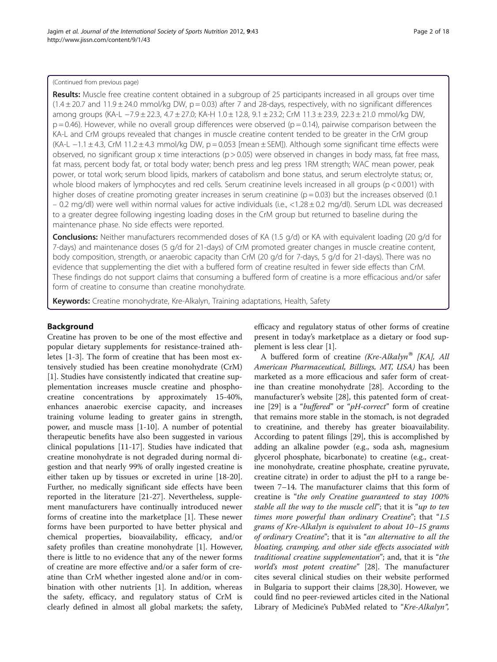### (Continued from previous page)

Results: Muscle free creatine content obtained in a subgroup of 25 participants increased in all groups over time  $(1.4 \pm 20.7 \text{ and } 11.9 \pm 24.0 \text{ mmol/kg DW}, p = 0.03)$  after 7 and 28-days, respectively, with no significant differences among groups (KA-L −7.9 ± 22.3, 4.7 ± 27.0; KA-H 1.0 ± 12.8, 9.1 ± 23.2; CrM 11.3 ± 23.9, 22.3 ± 21.0 mmol/kg DW,  $p = 0.46$ ). However, while no overall group differences were observed ( $p = 0.14$ ), pairwise comparison between the KA-L and CrM groups revealed that changes in muscle creatine content tended to be greater in the CrM group (KA-L −1.1 ± 4.3, CrM 11.2 ± 4.3 mmol/kg DW, p = 0.053 [mean ± SEM]). Although some significant time effects were observed, no significant group x time interactions ( $p > 0.05$ ) were observed in changes in body mass, fat free mass, fat mass, percent body fat, or total body water; bench press and leg press 1RM strength; WAC mean power, peak power, or total work; serum blood lipids, markers of catabolism and bone status, and serum electrolyte status; or, whole blood makers of lymphocytes and red cells. Serum creatinine levels increased in all groups (p < 0.001) with higher doses of creatine promoting greater increases in serum creatinine ( $p = 0.03$ ) but the increases observed (0.1 – 0.2 mg/dl) were well within normal values for active individuals (i.e., <1.28 ± 0.2 mg/dl). Serum LDL was decreased to a greater degree following ingesting loading doses in the CrM group but returned to baseline during the maintenance phase. No side effects were reported.

**Conclusions:** Neither manufacturers recommended doses of KA (1.5 g/d) or KA with equivalent loading (20 g/d for 7-days) and maintenance doses (5 g/d for 21-days) of CrM promoted greater changes in muscle creatine content, body composition, strength, or anaerobic capacity than CrM (20 g/d for 7-days, 5 g/d for 21-days). There was no evidence that supplementing the diet with a buffered form of creatine resulted in fewer side effects than CrM. These findings do not support claims that consuming a buffered form of creatine is a more efficacious and/or safer form of creatine to consume than creatine monohydrate.

Keywords: Creatine monohydrate, Kre-Alkalyn, Training adaptations, Health, Safety

# Background

Creatine has proven to be one of the most effective and popular dietary supplements for resistance-trained athletes [[1-3](#page-16-0)]. The form of creatine that has been most extensively studied has been creatine monohydrate (CrM) [[1\]](#page-16-0). Studies have consistently indicated that creatine supplementation increases muscle creatine and phosphocreatine concentrations by approximately 15-40%, enhances anaerobic exercise capacity, and increases training volume leading to greater gains in strength, power, and muscle mass [\[1](#page-16-0)-[10](#page-16-0)]. A number of potential therapeutic benefits have also been suggested in various clinical populations [[11](#page-16-0)-[17\]](#page-16-0). Studies have indicated that creatine monohydrate is not degraded during normal digestion and that nearly 99% of orally ingested creatine is either taken up by tissues or excreted in urine [\[18-20](#page-16-0)]. Further, no medically significant side effects have been reported in the literature [\[21](#page-16-0)-[27\]](#page-16-0). Nevertheless, supplement manufacturers have continually introduced newer forms of creatine into the marketplace [\[1](#page-16-0)]. These newer forms have been purported to have better physical and chemical properties, bioavailability, efficacy, and/or safety profiles than creatine monohydrate [\[1](#page-16-0)]. However, there is little to no evidence that any of the newer forms of creatine are more effective and/or a safer form of creatine than CrM whether ingested alone and/or in combination with other nutrients [[1\]](#page-16-0). In addition, whereas the safety, efficacy, and regulatory status of CrM is clearly defined in almost all global markets; the safety,

efficacy and regulatory status of other forms of creatine present in today's marketplace as a dietary or food supplement is less clear [\[1](#page-16-0)].

A buffered form of creatine (Kre-Alkalyn® [KA], All American Pharmaceutical, Billings, MT, USA) has been marketed as a more efficacious and safer form of creatine than creatine monohydrate [\[28\]](#page-16-0). According to the manufacturer's website [\[28](#page-16-0)], this patented form of creatine [\[29](#page-16-0)] is a "buffered" or "pH-correct" form of creatine that remains more stable in the stomach, is not degraded to creatinine, and thereby has greater bioavailability. According to patent filings [[29\]](#page-16-0), this is accomplished by adding an alkaline powder (e.g., soda ash, magnesium glycerol phosphate, bicarbonate) to creatine (e.g., creatine monohydrate, creatine phosphate, creatine pyruvate, creatine citrate) in order to adjust the pH to a range between 7–14. The manufacturer claims that this form of creatine is "the only Creatine guaranteed to stay 100% stable all the way to the muscle cell"; that it is "up to ten times more powerful than ordinary Creatine"; that "1.5 grams of Kre-Alkalyn is equivalent to about 10–15 grams of ordinary Creatine"; that it is "an alternative to all the bloating, cramping, and other side effects associated with traditional creatine supplementation"; and, that it is "the world's most potent creatine" [\[28\]](#page-16-0). The manufacturer cites several clinical studies on their website performed in Bulgaria to support their claims [\[28,30\]](#page-16-0). However, we could find no peer-reviewed articles cited in the National Library of Medicine's PubMed related to "Kre-Alkalyn",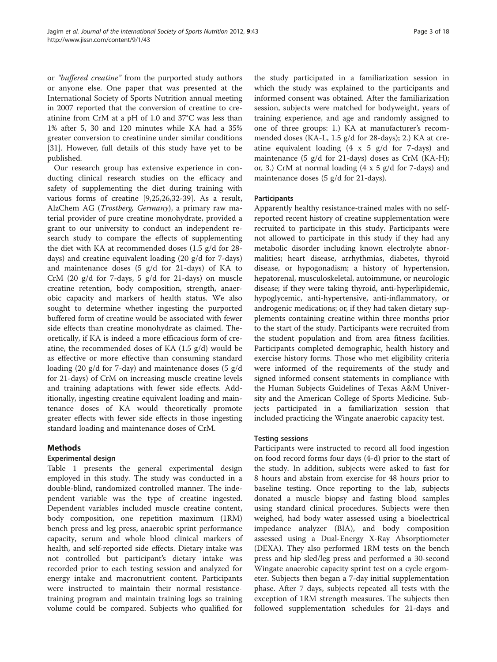or "buffered creatine" from the purported study authors or anyone else. One paper that was presented at the International Society of Sports Nutrition annual meeting in 2007 reported that the conversion of creatine to creatinine from CrM at a pH of 1.0 and 37°C was less than 1% after 5, 30 and 120 minutes while KA had a 35% greater conversion to creatinine under similar conditions [[31\]](#page-16-0). However, full details of this study have yet to be published.

Our research group has extensive experience in conducting clinical research studies on the efficacy and safety of supplementing the diet during training with various forms of creatine [[9](#page-16-0),[25](#page-16-0),[26](#page-16-0),[32](#page-16-0)[-39\]](#page-17-0). As a result, AlzChem AG (Trostberg, Germany), a primary raw material provider of pure creatine monohydrate, provided a grant to our university to conduct an independent research study to compare the effects of supplementing the diet with KA at recommended doses (1.5 g/d for 28 days) and creatine equivalent loading (20 g/d for 7-days) and maintenance doses (5 g/d for 21-days) of KA to CrM (20 g/d for 7-days, 5 g/d for 21-days) on muscle creatine retention, body composition, strength, anaerobic capacity and markers of health status. We also sought to determine whether ingesting the purported buffered form of creatine would be associated with fewer side effects than creatine monohydrate as claimed. Theoretically, if KA is indeed a more efficacious form of creatine, the recommended doses of KA (1.5 g/d) would be as effective or more effective than consuming standard loading (20 g/d for 7-day) and maintenance doses (5 g/d for 21-days) of CrM on increasing muscle creatine levels and training adaptations with fewer side effects. Additionally, ingesting creatine equivalent loading and maintenance doses of KA would theoretically promote greater effects with fewer side effects in those ingesting standard loading and maintenance doses of CrM.

# Methods

# Experimental design

Table [1](#page-3-0) presents the general experimental design employed in this study. The study was conducted in a double-blind, randomized controlled manner. The independent variable was the type of creatine ingested. Dependent variables included muscle creatine content, body composition, one repetition maximum (1RM) bench press and leg press, anaerobic sprint performance capacity, serum and whole blood clinical markers of health, and self-reported side effects. Dietary intake was not controlled but participant's dietary intake was recorded prior to each testing session and analyzed for energy intake and macronutrient content. Participants were instructed to maintain their normal resistancetraining program and maintain training logs so training volume could be compared. Subjects who qualified for

the study participated in a familiarization session in which the study was explained to the participants and informed consent was obtained. After the familiarization session, subjects were matched for bodyweight, years of training experience, and age and randomly assigned to one of three groups: 1.) KA at manufacturer's recommended doses (KA-L, 1.5 g/d for 28-days); 2.) KA at creatine equivalent loading  $(4 \times 5 \text{ g/d}$  for 7-days) and maintenance (5 g/d for 21-days) doses as CrM (KA-H); or, 3.) CrM at normal loading (4 x 5 g/d for 7-days) and maintenance doses (5 g/d for 21-days).

# **Participants**

Apparently healthy resistance-trained males with no selfreported recent history of creatine supplementation were recruited to participate in this study. Participants were not allowed to participate in this study if they had any metabolic disorder including known electrolyte abnormalities; heart disease, arrhythmias, diabetes, thyroid disease, or hypogonadism; a history of hypertension, hepatorenal, musculoskeletal, autoimmune, or neurologic disease; if they were taking thyroid, anti-hyperlipidemic, hypoglycemic, anti-hypertensive, anti-inflammatory, or androgenic medications; or, if they had taken dietary supplements containing creatine within three months prior to the start of the study. Participants were recruited from the student population and from area fitness facilities. Participants completed demographic, health history and exercise history forms. Those who met eligibility criteria were informed of the requirements of the study and signed informed consent statements in compliance with the Human Subjects Guidelines of Texas A&M University and the American College of Sports Medicine. Subjects participated in a familiarization session that included practicing the Wingate anaerobic capacity test.

#### Testing sessions

Participants were instructed to record all food ingestion on food record forms four days (4-d) prior to the start of the study. In addition, subjects were asked to fast for 8 hours and abstain from exercise for 48 hours prior to baseline testing. Once reporting to the lab, subjects donated a muscle biopsy and fasting blood samples using standard clinical procedures. Subjects were then weighed, had body water assessed using a bioelectrical impedance analyzer (BIA), and body composition assessed using a Dual-Energy X-Ray Absorptiometer (DEXA). They also performed 1RM tests on the bench press and hip sled/leg press and performed a 30-second Wingate anaerobic capacity sprint test on a cycle ergometer. Subjects then began a 7-day initial supplementation phase. After 7 days, subjects repeated all tests with the exception of 1RM strength measures. The subjects then followed supplementation schedules for 21-days and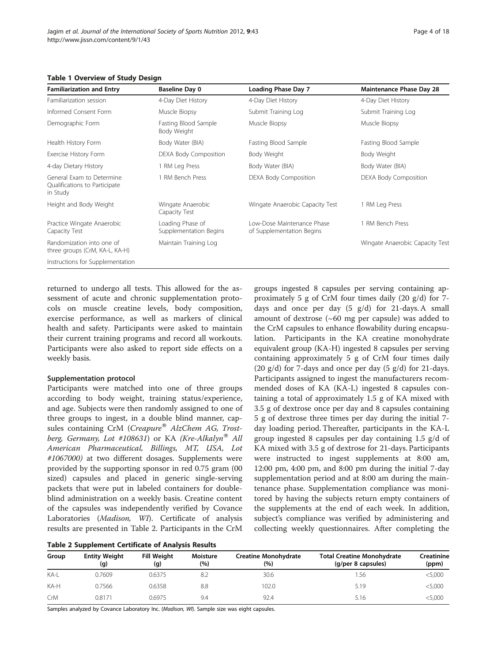| <b>Familiarization and Entry</b>                                       | <b>Baseline Day 0</b>                      | Loading Phase Day 7                                     | <b>Maintenance Phase Day 28</b> |
|------------------------------------------------------------------------|--------------------------------------------|---------------------------------------------------------|---------------------------------|
| Familiarization session                                                | 4-Day Diet History                         | 4-Day Diet History                                      | 4-Day Diet History              |
| Informed Consent Form                                                  | Muscle Biopsy                              | Submit Training Log                                     | Submit Training Log             |
| Demographic Form                                                       | Fasting Blood Sample<br>Body Weight        | Muscle Biopsy                                           | Muscle Biopsy                   |
| Health History Form                                                    | Body Water (BIA)                           | Fasting Blood Sample                                    | Fasting Blood Sample            |
| Exercise History Form                                                  | DEXA Body Composition                      | Body Weight                                             | Body Weight                     |
| 4-day Dietary History                                                  | RM Leg Press                               | Body Water (BIA)                                        | Body Water (BIA)                |
| General Exam to Determine<br>Qualifications to Participate<br>in Study | RM Bench Press                             | DEXA Body Composition                                   | DEXA Body Composition           |
| Height and Body Weight                                                 | Wingate Anaerobic<br>Capacity Test         | Wingate Anaerobic Capacity Test                         | 1 RM Leg Press                  |
| Practice Wingate Anaerobic<br>Capacity Test                            | Loading Phase of<br>Supplementation Begins | Low-Dose Maintenance Phase<br>of Supplementation Begins | 1 RM Bench Press                |
| Randomization into one of<br>three groups (CrM, KA-L, KA-H)            | Maintain Training Log                      |                                                         | Wingate Anaerobic Capacity Test |
| Instructions for Supplementation                                       |                                            |                                                         |                                 |

#### <span id="page-3-0"></span>Table 1 Overview of Study Design

returned to undergo all tests. This allowed for the assessment of acute and chronic supplementation protocols on muscle creatine levels, body composition, exercise performance, as well as markers of clinical health and safety. Participants were asked to maintain their current training programs and record all workouts. Participants were also asked to report side effects on a weekly basis.

#### Supplementation protocol

Participants were matched into one of three groups according to body weight, training status/experience, and age. Subjects were then randomly assigned to one of three groups to ingest, in a double blind manner, capsules containing CrM (Creapure® AlzChem AG, Trostberg, Germany, Lot #108631) or KA (Kre-Alkalyn<sup>®</sup> All American Pharmaceutical, Billings, MT, USA, Lot #1067000) at two different dosages. Supplements were provided by the supporting sponsor in red 0.75 gram (00 sized) capsules and placed in generic single-serving packets that were put in labeled containers for doubleblind administration on a weekly basis. Creatine content of the capsules was independently verified by Covance Laboratories (Madison, WI). Certificate of analysis results are presented in Table 2. Participants in the CrM

| <b>Table 2 Supplement Certificate of Analysis Results</b> |  |  |  |  |
|-----------------------------------------------------------|--|--|--|--|
|-----------------------------------------------------------|--|--|--|--|

groups ingested 8 capsules per serving containing approximately 5 g of CrM four times daily (20 g/d) for 7 days and once per day  $(5 \text{ g/d})$  for 21-days. A small amount of dextrose (~60 mg per capsule) was added to the CrM capsules to enhance flowability during encapsulation. Participants in the KA creatine monohydrate equivalent group (KA-H) ingested 8 capsules per serving containing approximately 5 g of CrM four times daily (20  $g/d$ ) for 7-days and once per day (5  $g/d$ ) for 21-days. Participants assigned to ingest the manufacturers recommended doses of KA (KA-L) ingested 8 capsules containing a total of approximately 1.5 g of KA mixed with 3.5 g of dextrose once per day and 8 capsules containing 5 g of dextrose three times per day during the initial 7 day loading period. Thereafter, participants in the KA-L group ingested 8 capsules per day containing 1.5 g/d of KA mixed with 3.5 g of dextrose for 21-days. Participants were instructed to ingest supplements at 8:00 am, 12:00 pm, 4:00 pm, and 8:00 pm during the initial 7-day supplementation period and at 8:00 am during the maintenance phase. Supplementation compliance was monitored by having the subjects return empty containers of the supplements at the end of each week. In addition, subject's compliance was verified by administering and collecting weekly questionnaires. After completing the

| Group | <b>Entity Weight</b><br>(q) | Fill Weight<br>(q) | Moisture<br>(%) | Creatine Monohydrate<br>(%) | <b>Total Creatine Monohydrate</b><br>(g/per 8 capsules) | Creatinine<br>(ppm) |
|-------|-----------------------------|--------------------|-----------------|-----------------------------|---------------------------------------------------------|---------------------|
| KA-I  | 0.7609                      | 0.6375             | 82              | 30.6                        | .56                                                     | $<$ 5,000           |
| KA-H  | 0.7566                      | 0.6358             | 8.8             | 102.0                       | 5.19                                                    | $<$ 5,000           |
| CrM   | 0.8171                      | 0.6975             | 9.4             | 92.4                        | 5.16                                                    | $<$ 5,000           |

Samples analyzed by Covance Laboratory Inc. (Madison, WI). Sample size was eight capsules.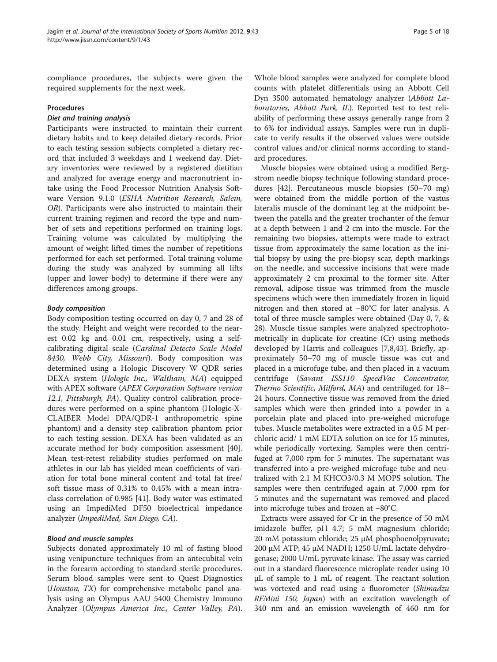compliance procedures, the subjects were given the required supplements for the next week.

#### Procedures

#### Diet and training analysis

Participants were instructed to maintain their current dietary habits and to keep detailed dietary records. Prior to each testing session subjects completed a dietary record that included 3 weekdays and 1 weekend day. Dietary inventories were reviewed by a registered dietitian and analyzed for average energy and macronutrient intake using the Food Processor Nutrition Analysis Software Version 9.1.0 (ESHA Nutrition Research, Salem, OR). Participants were also instructed to maintain their current training regimen and record the type and number of sets and repetitions performed on training logs. Training volume was calculated by multiplying the amount of weight lifted times the number of repetitions performed for each set performed. Total training volume during the study was analyzed by summing all lifts (upper and lower body) to determine if there were any differences among groups.

#### Body composition

Body composition testing occurred on day 0, 7 and 28 of the study. Height and weight were recorded to the nearest 0.02 kg and 0.01 cm, respectively, using a selfcalibrating digital scale (Cardinal Detecto Scale Model 8430, Webb City, Missouri). Body composition was determined using a Hologic Discovery W QDR series DEXA system (Hologic Inc., Waltham, MA) equipped with APEX software (APEX Corporation Software version 12.1, Pittsburgh, PA). Quality control calibration procedures were performed on a spine phantom (Hologic-X-CLAIBER Model DPA/QDR-1 anthropometric spine phantom) and a density step calibration phantom prior to each testing session. DEXA has been validated as an accurate method for body composition assessment [\[40](#page-17-0)]. Mean test-retest reliability studies performed on male athletes in our lab has yielded mean coefficients of variation for total bone mineral content and total fat free/ soft tissue mass of 0.31% to 0.45% with a mean intraclass correlation of 0.985 [[41](#page-17-0)]. Body water was estimated using an ImpediMed DF50 bioelectrical impedance analyzer (ImpediMed, San Diego, CA).

# Blood and muscle samples

Subjects donated approximately 10 ml of fasting blood using venipuncture techniques from an antecubital vein in the forearm according to standard sterile procedures. Serum blood samples were sent to Quest Diagnostics (Houston, TX) for comprehensive metabolic panel analysis using an Olympus AAU 5400 Chemistry Immuno Analyzer (Olympus America Inc., Center Valley, PA).

Whole blood samples were analyzed for complete blood counts with platelet differentials using an Abbott Cell Dyn 3500 automated hematology analyzer (Abbott Laboratories, Abbott Park, IL). Reported test to test reliability of performing these assays generally range from 2 to 6% for individual assays. Samples were run in duplicate to verify results if the observed values were outside control values and/or clinical norms according to standard procedures.

Muscle biopsies were obtained using a modified Bergstrom needle biopsy technique following standard procedures [[42](#page-17-0)]. Percutaneous muscle biopsies (50–70 mg) were obtained from the middle portion of the vastus lateralis muscle of the dominant leg at the midpoint between the patella and the greater trochanter of the femur at a depth between 1 and 2 cm into the muscle. For the remaining two biopsies, attempts were made to extract tissue from approximately the same location as the initial biopsy by using the pre-biopsy scar, depth markings on the needle, and successive incisions that were made approximately 2 cm proximal to the former site. After removal, adipose tissue was trimmed from the muscle specimens which were then immediately frozen in liquid nitrogen and then stored at −80°C for later analysis. A total of three muscle samples were obtained (Day 0, 7, & 28). Muscle tissue samples were analyzed spectrophotometrically in duplicate for creatine (Cr) using methods developed by Harris and colleagues [\[7,8](#page-16-0)[,43](#page-17-0)]. Briefly, approximately 50–70 mg of muscle tissue was cut and placed in a microfuge tube, and then placed in a vacuum centrifuge (Savant ISS110 SpeedVac Concentrator, Thermo Scientific, Milford, MA) and centrifuged for 18– 24 hours. Connective tissue was removed from the dried samples which were then grinded into a powder in a porcelain plate and placed into pre-weighed microfuge tubes. Muscle metabolites were extracted in a 0.5 M perchloric acid/ 1 mM EDTA solution on ice for 15 minutes, while periodically vortexing. Samples were then centrifuged at 7,000 rpm for 5 minutes. The supernatant was transferred into a pre-weighed microfuge tube and neutralized with 2.1 M KHCO3/0.3 M MOPS solution. The samples were then centrifuged again at 7,000 rpm for 5 minutes and the supernatant was removed and placed into microfuge tubes and frozen at −80°C.

Extracts were assayed for Cr in the presence of 50 mM imidazole buffer, pH 4.7; 5 mM magnesium chloride; 20 mM potassium chloride; 25 μM phosphoenolpyruvate; 200 μM ATP; 45 μM NADH; 1250 U/mL lactate dehydrogenase; 2000 U/mL pyruvate kinase. The assay was carried out in a standard fluorescence microplate reader using 10 μL of sample to 1 mL of reagent. The reactant solution was vortexed and read using a fluorometer (Shimadzu RFMini 150, Japan) with an excitation wavelength of 340 nm and an emission wavelength of 460 nm for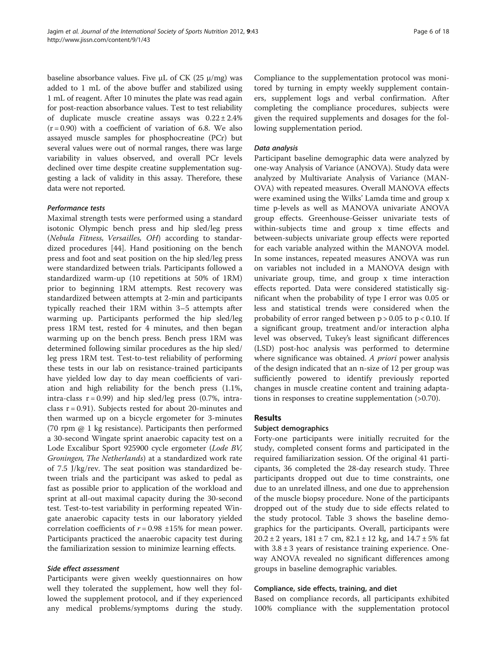baseline absorbance values. Five  $\mu$ L of CK (25  $\mu$ /mg) was added to 1 mL of the above buffer and stabilized using 1 mL of reagent. After 10 minutes the plate was read again for post-reaction absorbance values. Test to test reliability of duplicate muscle creatine assays was  $0.22 \pm 2.4\%$  $(r = 0.90)$  with a coefficient of variation of 6.8. We also assayed muscle samples for phosphocreatine (PCr) but several values were out of normal ranges, there was large variability in values observed, and overall PCr levels declined over time despite creatine supplementation suggesting a lack of validity in this assay. Therefore, these data were not reported.

# Performance tests

Maximal strength tests were performed using a standard isotonic Olympic bench press and hip sled/leg press (Nebula Fitness, Versailles, OH) according to standardized procedures [[44\]](#page-17-0). Hand positioning on the bench press and foot and seat position on the hip sled/leg press were standardized between trials. Participants followed a standardized warm-up (10 repetitions at 50% of 1RM) prior to beginning 1RM attempts. Rest recovery was standardized between attempts at 2-min and participants typically reached their 1RM within 3–5 attempts after warming up. Participants performed the hip sled/leg press 1RM test, rested for 4 minutes, and then began warming up on the bench press. Bench press 1RM was determined following similar procedures as the hip sled/ leg press 1RM test. Test-to-test reliability of performing these tests in our lab on resistance-trained participants have yielded low day to day mean coefficients of variation and high reliability for the bench press (1.1%, intra-class  $r = 0.99$ ) and hip sled/leg press (0.7%, intraclass  $r = 0.91$ ). Subjects rested for about 20-minutes and then warmed up on a bicycle ergometer for 3-minutes (70 rpm  $@1$  kg resistance). Participants then performed a 30-second Wingate sprint anaerobic capacity test on a Lode Excalibur Sport 925900 cycle ergometer (Lode BV, Groningen, The Netherlands) at a standardized work rate of 7.5 J/kg/rev. The seat position was standardized between trials and the participant was asked to pedal as fast as possible prior to application of the workload and sprint at all-out maximal capacity during the 30-second test. Test-to-test variability in performing repeated Wingate anaerobic capacity tests in our laboratory yielded correlation coefficients of  $r = 0.98 \pm 15\%$  for mean power. Participants practiced the anaerobic capacity test during the familiarization session to minimize learning effects.

#### Side effect assessment

Participants were given weekly questionnaires on how well they tolerated the supplement, how well they followed the supplement protocol, and if they experienced any medical problems/symptoms during the study.

Compliance to the supplementation protocol was monitored by turning in empty weekly supplement containers, supplement logs and verbal confirmation. After completing the compliance procedures, subjects were given the required supplements and dosages for the following supplementation period.

# Data analysis

Participant baseline demographic data were analyzed by one-way Analysis of Variance (ANOVA). Study data were analyzed by Multivariate Analysis of Variance (MAN-OVA) with repeated measures. Overall MANOVA effects were examined using the Wilks' Lamda time and group x time p-levels as well as MANOVA univariate ANOVA group effects. Greenhouse-Geisser univariate tests of within-subjects time and group x time effects and between-subjects univariate group effects were reported for each variable analyzed within the MANOVA model. In some instances, repeated measures ANOVA was run on variables not included in a MANOVA design with univariate group, time, and group x time interaction effects reported. Data were considered statistically significant when the probability of type I error was 0.05 or less and statistical trends were considered when the probability of error ranged between  $p > 0.05$  to  $p < 0.10$ . If a significant group, treatment and/or interaction alpha level was observed, Tukey's least significant differences (LSD) post-hoc analysis was performed to determine where significance was obtained. A priori power analysis of the design indicated that an n-size of 12 per group was sufficiently powered to identify previously reported changes in muscle creatine content and training adaptations in responses to creatine supplementation (>0.70).

# Results

# Subject demographics

Forty-one participants were initially recruited for the study, completed consent forms and participated in the required familiarization session. Of the original 41 participants, 36 completed the 28-day research study. Three participants dropped out due to time constraints, one due to an unrelated illness, and one due to apprehension of the muscle biopsy procedure. None of the participants dropped out of the study due to side effects related to the study protocol. Table [3](#page-6-0) shows the baseline demographics for the participants. Overall, participants were 20.2 ± 2 years, 181 ± 7 cm, 82.1 ± 12 kg, and 14.7 ± 5% fat with  $3.8 \pm 3$  years of resistance training experience. Oneway ANOVA revealed no significant differences among groups in baseline demographic variables.

#### Compliance, side effects, training, and diet

Based on compliance records, all participants exhibited 100% compliance with the supplementation protocol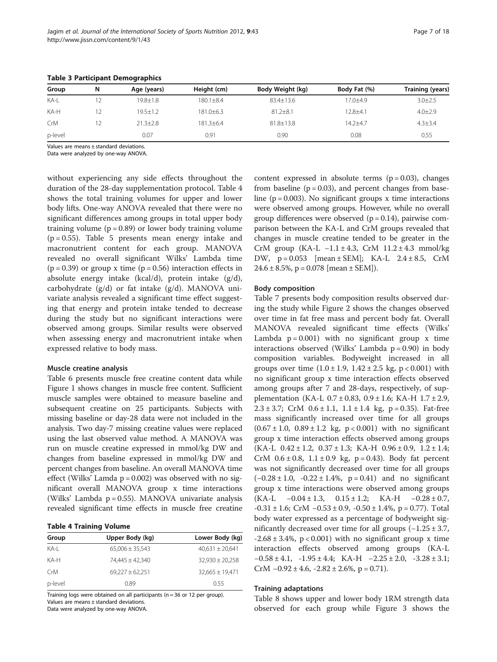| Group   | N | Age (years)  | Height (cm)   | Body Weight (kg) | Body Fat (%) | Training (years) |
|---------|---|--------------|---------------|------------------|--------------|------------------|
| KA-L    |   | 19.8+1.8     | $180.1 + 8.4$ | $83.4 + 13.6$    | $17.0 + 4.9$ | $3.0 \pm 2.5$    |
| KA-H    |   | $19.5 + 1.2$ | $181.0 + 6.3$ | $81.2 + 8.1$     | 12.8+4.1     | $4.0 \pm 2.9$    |
| CrM     |   | $21.3 + 2.8$ | $181.3 + 6.4$ | $81.8 + 13.8$    | $14.2 + 4.7$ | $4.3 \pm 3.4$    |
| p-level |   | 0.07         | 0.91          | 0.90             | 0.08         | 0.55             |

<span id="page-6-0"></span>Table 3 Participant Demographics

Values are means ± standard deviations.

Data were analyzed by one-way ANOVA.

without experiencing any side effects throughout the duration of the 28-day supplementation protocol. Table 4 shows the total training volumes for upper and lower body lifts. One-way ANOVA revealed that there were no significant differences among groups in total upper body training volume  $(p = 0.89)$  or lower body training volume  $(p = 0.55)$ . Table [5](#page-7-0) presents mean energy intake and macronutrient content for each group. MANOVA revealed no overall significant Wilks' Lambda time  $(p = 0.39)$  or group x time  $(p = 0.56)$  interaction effects in absolute energy intake (kcal/d), protein intake (g/d), carbohydrate (g/d) or fat intake (g/d). MANOVA univariate analysis revealed a significant time effect suggesting that energy and protein intake tended to decrease during the study but no significant interactions were observed among groups. Similar results were observed when assessing energy and macronutrient intake when expressed relative to body mass.

#### Muscle creatine analysis

Table [6](#page-7-0) presents muscle free creatine content data while Figure [1](#page-8-0) shows changes in muscle free content. Sufficient muscle samples were obtained to measure baseline and subsequent creatine on 25 participants. Subjects with missing baseline or day-28 data were not included in the analysis. Two day-7 missing creatine values were replaced using the last observed value method. A MANOVA was run on muscle creatine expressed in mmol/kg DW and changes from baseline expressed in mmol/kg DW and percent changes from baseline. An overall MANOVA time effect (Wilks' Lamda  $p = 0.002$ ) was observed with no significant overall MANOVA group x time interactions (Wilks' Lambda  $p = 0.55$ ). MANOVA univariate analysis revealed significant time effects in muscle free creatine

#### Table 4 Training Volume

| Group   | Upper Body (kg)     | Lower Body (kg)     |
|---------|---------------------|---------------------|
| KA-I    | $65,006 \pm 35,543$ | $40,631 \pm 20,641$ |
| KA-H    | 74,445 ± 42,340     | $32,930 \pm 20,258$ |
| CrM     | $69,227 \pm 62,251$ | $32,665 \pm 19,471$ |
| p-level | 0.89                | 0.55                |

Training logs were obtained on all participants (n = 36 or 12 per group). Values are means ± standard deviations.

Data were analyzed by one-way ANOVA.

content expressed in absolute terms  $(p = 0.03)$ , changes from baseline  $(p = 0.03)$ , and percent changes from baseline ( $p = 0.003$ ). No significant groups x time interactions were observed among groups. However, while no overall group differences were observed  $(p = 0.14)$ , pairwise comparison between the KA-L and CrM groups revealed that changes in muscle creatine tended to be greater in the CrM group (KA-L  $-1.1 \pm 4.3$ , CrM  $11.2 \pm 4.3$  mmol/kg DW, p = 0.053 [mean ± SEM]; KA-L 2.4 ± 8.5, CrM  $24.6 \pm 8.5$ %, p = 0.078 [mean  $\pm$  SEM]).

#### Body composition

Table [7](#page-8-0) presents body composition results observed during the study while Figure [2](#page-9-0) shows the changes observed over time in fat free mass and percent body fat. Overall MANOVA revealed significant time effects (Wilks' Lambda  $p = 0.001$ ) with no significant group x time interactions observed (Wilks' Lambda  $p = 0.90$ ) in body composition variables. Bodyweight increased in all groups over time  $(1.0 \pm 1.9, 1.42 \pm 2.5 \text{ kg}, \text{p} < 0.001)$  with no significant group x time interaction effects observed among groups after 7 and 28-days, respectively, of supplementation (KA-L  $0.7 \pm 0.83$ ,  $0.9 \pm 1.6$ ; KA-H  $1.7 \pm 2.9$ ,  $2.3 \pm 3.7$ ; CrM  $0.6 \pm 1.1$ ,  $1.1 \pm 1.4$  kg, p = 0.35). Fat-free mass significantly increased over time for all groups  $(0.67 \pm 1.0, 0.89 \pm 1.2 \text{ kg}, \text{ p} < 0.001)$  with no significant group x time interaction effects observed among groups  $(KA-L 0.42 \pm 1.2, 0.37 \pm 1.3; KA-H 0.96 \pm 0.9, 1.2 \pm 1.4;$ CrM  $0.6 \pm 0.8$ ,  $1.1 \pm 0.9$  kg,  $p = 0.43$ ). Body fat percent was not significantly decreased over time for all groups  $(-0.28 \pm 1.0, -0.22 \pm 1.4\%, p = 0.41)$  and no significant group x time interactions were observed among groups  $(KA-L \quad -0.04 \pm 1.3, \quad 0.15 \pm 1.2; \quad KA-H \quad -0.28 \pm 0.7,$  $-0.31 \pm 1.6$ ; CrM  $-0.53 \pm 0.9$ ,  $-0.50 \pm 1.4$ %, p = 0.77). Total body water expressed as a percentage of bodyweight significantly decreased over time for all groups  $(-1.25 \pm 3.7,$  $-2.68 \pm 3.4$ %, p < 0.001) with no significant group x time interaction effects observed among groups (KA-L −0.58 ± 4.1, -1.95 ± 4.4; KA-H −2.25 ± 2.0, -3.28 ± 3.1; CrM  $-0.92 \pm 4.6$ ,  $-2.82 \pm 2.6$ %, p = 0.71).

#### Training adaptations

Table [8](#page-9-0) shows upper and lower body 1RM strength data observed for each group while Figure [3](#page-10-0) shows the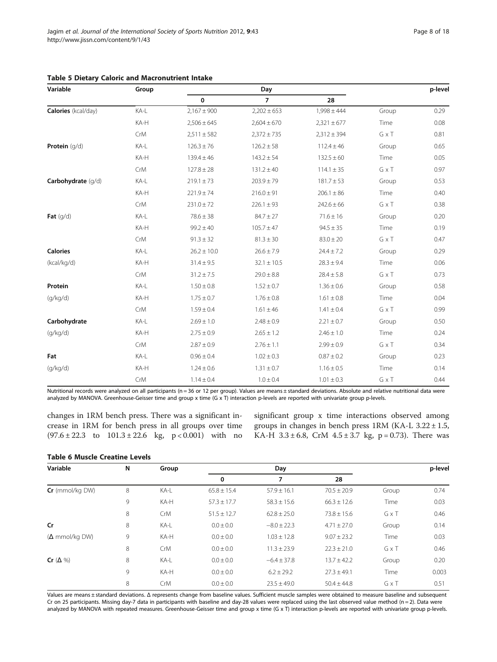| Variable               | Group |                 | Day             |                 |       | p-level |
|------------------------|-------|-----------------|-----------------|-----------------|-------|---------|
|                        |       | $\mathbf 0$     | $\overline{7}$  | 28              |       |         |
| Calories (kcal/day)    | KA-L  | $2,167 \pm 900$ | $2,202 \pm 653$ | $1,998 \pm 444$ | Group | 0.29    |
|                        | KA-H  | $2,506 \pm 645$ | $2,604 \pm 670$ | $2,321 \pm 677$ | Time  | 0.08    |
|                        | CrM   | $2,511 \pm 582$ | $2,372 \pm 735$ | $2,312 \pm 394$ | GxT   | 0.81    |
| <b>Protein</b> $(q/d)$ | KA-L  | $126.3 \pm 76$  | $126.2 \pm 58$  | $112.4 \pm 46$  | Group | 0.65    |
|                        | KA-H  | $139.4 \pm 46$  | $143.2 \pm 54$  | $132.5 \pm 60$  | Time  | 0.05    |
|                        | CrM   | $127.8 \pm 28$  | $131.2 \pm 40$  | $114.1 \pm 35$  | GxT   | 0.97    |
| Carbohydrate (q/d)     | KA-L  | $219.1 \pm 73$  | $203.9 \pm 79$  | $181.7 \pm 53$  | Group | 0.53    |
|                        | KA-H  | $221.9 \pm 74$  | $216.0 \pm 91$  | $206.1 \pm 86$  | Time  | 0.40    |
|                        | CrM   | $231.0 \pm 72$  | $226.1 \pm 93$  | $242.6 \pm 66$  | GxT   | 0.38    |
| Fat $(q/d)$            | KA-L  | $78.6 \pm 38$   | $84.7 \pm 27$   | $71.6 \pm 16$   | Group | 0.20    |
|                        | KA-H  | $99.2 \pm 40$   | $105.7 \pm 47$  | $94.5 \pm 35$   | Time  | 0.19    |
|                        | CrM   | $91.3 \pm 32$   | $81.3 \pm 30$   | $83.0 \pm 20$   | GxT   | 0.47    |
| <b>Calories</b>        | KA-L  | $26.2 \pm 10.0$ | $26.6 \pm 7.9$  | $24.4 \pm 7.2$  | Group | 0.29    |
| (kcal/kg/d)            | KA-H  | $31.4 \pm 9.5$  | $32.1 \pm 10.5$ | $28.3 \pm 9.4$  | Time  | 0.06    |
|                        | CrM   | $31.2 \pm 7.5$  | $29.0 \pm 8.8$  | $28.4 \pm 5.8$  | GxT   | 0.73    |
| Protein                | KA-L  | $1.50 \pm 0.8$  | $1.52 \pm 0.7$  | $1.36 \pm 0.6$  | Group | 0.58    |
| (q/kg/d)               | KA-H  | $1.75 \pm 0.7$  | $1.76 \pm 0.8$  | $1.61 \pm 0.8$  | Time  | 0.04    |
|                        | CrM   | $1.59 \pm 0.4$  | $1.61 \pm 46$   | $1.41 \pm 0.4$  | GxT   | 0.99    |
| Carbohydrate           | KA-L  | $2.69 \pm 1.0$  | $2.48 \pm 0.9$  | $2.21 \pm 0.7$  | Group | 0.50    |
| (q/kg/d)               | KA-H  | $2.75 \pm 0.9$  | $2.65 \pm 1.2$  | $2.46 \pm 1.0$  | Time  | 0.24    |
|                        | CrM   | $2.87 \pm 0.9$  | $2.76 \pm 1.1$  | $2.99 \pm 0.9$  | GxT   | 0.34    |
| Fat                    | KA-L  | $0.96 \pm 0.4$  | $1.02 \pm 0.3$  | $0.87 \pm 0.2$  | Group | 0.23    |
| (q/kg/d)               | KA-H  | $1.24 \pm 0.6$  | $1.31 \pm 0.7$  | $1.16 \pm 0.5$  | Time  | 0.14    |
|                        | CrM   | $1.14 \pm 0.4$  | $1.0 \pm 0.4$   | $1.01 \pm 0.3$  | GxT   | 0.44    |

# <span id="page-7-0"></span>Table 5 Dietary Caloric and Macronutrient Intake

Nutritional records were analyzed on all participants (n = 36 or 12 per group). Values are means ± standard deviations. Absolute and relative nutritional data were analyzed by MANOVA. Greenhouse-Geisser time and group x time (G x T) interaction p-levels are reported with univariate group p-levels.

changes in 1RM bench press. There was a significant increase in 1RM for bench press in all groups over time  $(97.6 \pm 22.3 \text{ to } 101.3 \pm 22.6 \text{ kg}, \text{ p} < 0.001) \text{ with no}$ 

significant group x time interactions observed among groups in changes in bench press  $1RM$  (KA-L  $3.22 \pm 1.5$ , KA-H  $3.3 \pm 6.8$ , CrM  $4.5 \pm 3.7$  kg, p = 0.73). There was

#### Table 6 Muscle Creatine Levels

| Variable              | N | Group |                 | Day             |                 |       | p-level |
|-----------------------|---|-------|-----------------|-----------------|-----------------|-------|---------|
|                       |   |       | 0               |                 | 28              |       |         |
| Cr (mmol/kg DW)       | 8 | KA-L  | $65.8 \pm 15.4$ | $57.9 \pm 16.1$ | $70.5 \pm 20.9$ | Group | 0.74    |
|                       | 9 | KA-H  | $57.3 \pm 17.7$ | $58.3 \pm 15.6$ | $66.3 \pm 12.6$ | Time  | 0.03    |
|                       | 8 | CrM   | $51.5 \pm 12.7$ | $62.8 \pm 25.0$ | $73.8 \pm 15.6$ | GxT   | 0.46    |
| Cr                    | 8 | KA-L  | $0.0 \pm 0.0$   | $-8.0 \pm 22.3$ | $4.71 \pm 27.0$ | Group | 0.14    |
| $(\Delta$ mmol/kg DW) | 9 | KA-H  | $0.0 \pm 0.0$   | $1.03 + 12.8$   | $9.07 \pm 23.2$ | Time  | 0.03    |
|                       | 8 | CrM   | $0.0 \pm 0.0$   | $11.3 \pm 23.9$ | $22.3 \pm 21.0$ | GxT   | 0.46    |
| Cr $(\Delta \%)$      | 8 | KA-L  | $0.0 \pm 0.0$   | $-6.4 \pm 37.8$ | $13.7 \pm 42.2$ | Group | 0.20    |
|                       | 9 | KA-H  | $0.0 \pm 0.0$   | $6.2 \pm 29.2$  | $27.3 \pm 49.1$ | Time  | 0.003   |
|                       | 8 | CrM   | $0.0 \pm 0.0$   | $23.5 \pm 49.0$ | $50.4 \pm 44.8$ | GxT   | 0.51    |

Values are means ± standard deviations. Δ represents change from baseline values. Sufficient muscle samples were obtained to measure baseline and subsequent Cr on 25 participants. Missing day-7 data in participants with baseline and day-28 values were replaced using the last observed value method (n = 2). Data were analyzed by MANOVA with repeated measures. Greenhouse-Geisser time and group x time (G x T) interaction p-levels are reported with univariate group p-levels.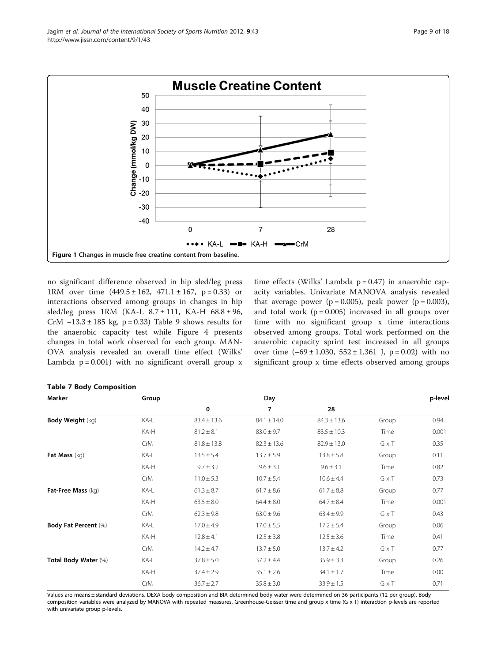<span id="page-8-0"></span>

no significant difference observed in hip sled/leg press 1RM over time  $(449.5 \pm 162, 471.1 \pm 167, p = 0.33)$  or interactions observed among groups in changes in hip sled/leg press 1RM (KA-L 8.7 ± 111, KA-H 68.8 ± 96, CrM  $-13.3 \pm 185$  kg, p = 0.33) Table [9](#page-10-0) shows results for the anaerobic capacity test while Figure [4](#page-11-0) presents changes in total work observed for each group. MAN-OVA analysis revealed an overall time effect (Wilks' Lambda  $p = 0.001$ ) with no significant overall group x

time effects (Wilks' Lambda  $p = 0.47$ ) in anaerobic capacity variables. Univariate MANOVA analysis revealed that average power ( $p = 0.005$ ), peak power ( $p = 0.003$ ), and total work  $(p = 0.005)$  increased in all groups over time with no significant group x time interactions observed among groups. Total work performed on the anaerobic capacity sprint test increased in all groups over time  $(-69 \pm 1,030, 552 \pm 1,361)$ , p = 0.02) with no significant group x time effects observed among groups

#### Table 7 Body Composition

| Marker                      | Group |                 | Day             |                 |       | p-level |
|-----------------------------|-------|-----------------|-----------------|-----------------|-------|---------|
|                             |       | 0               | 7               | 28              |       |         |
| Body Weight (kg)            | KA-L  | $83.4 \pm 13.6$ | $84.1 \pm 14.0$ | $84.3 \pm 13.6$ | Group | 0.94    |
|                             | KA-H  | $81.2 \pm 8.1$  | $83.0 \pm 9.7$  | $83.5 \pm 10.3$ | Time  | 0.001   |
|                             | CrM   | $81.8 \pm 13.8$ | $82.3 \pm 13.6$ | $82.9 \pm 13.0$ | GxT   | 0.35    |
| Fat Mass (kg)               | KA-L  | $13.5 \pm 5.4$  | $13.7 \pm 5.9$  | $13.8 \pm 5.8$  | Group | 0.11    |
|                             | KA-H  | $9.7 \pm 3.2$   | $9.6 \pm 3.1$   | $9.6 \pm 3.1$   | Time  | 0.82    |
|                             | CrM   | $11.0 \pm 5.3$  | $10.7 \pm 5.4$  | $10.6 \pm 4.4$  | GxT   | 0.73    |
| Fat-Free Mass (kg)          | KA-L  | $61.3 \pm 8.7$  | $61.7 \pm 8.6$  | $61.7 \pm 8.8$  | Group | 0.77    |
|                             | KA-H  | $63.5 \pm 8.0$  | $64.4 \pm 8.0$  | $64.7 \pm 8.4$  | Time  | 0.001   |
|                             | CrM   | $62.3 \pm 9.8$  | $63.0 \pm 9.6$  | $63.4 \pm 9.9$  | GxT   | 0.43    |
| <b>Body Fat Percent (%)</b> | KA-L  | $17.0 \pm 4.9$  | $17.0 \pm 5.5$  | $17.2 \pm 5.4$  | Group | 0.06    |
|                             | KA-H  | $12.8 \pm 4.1$  | $12.5 \pm 3.8$  | $12.5 \pm 3.6$  | Time  | 0.41    |
|                             | CrM   | $14.2 \pm 4.7$  | $13.7 \pm 5.0$  | $13.7 \pm 4.2$  | GxT   | 0.77    |
| Total Body Water (%)        | KA-L  | $37.8 \pm 5.0$  | $37.2 \pm 4.4$  | $35.9 \pm 3.3$  | Group | 0.26    |
|                             | KA-H  | $37.4 \pm 2.9$  | $35.1 \pm 2.6$  | $34.1 \pm 1.7$  | Time  | 0.00    |
|                             | CrM   | $36.7 \pm 2.7$  | $35.8 \pm 3.0$  | $33.9 \pm 1.5$  | GxT   | 0.71    |

Values are means ± standard deviations. DEXA body composition and BIA determined body water were determined on 36 participants (12 per group). Body composition variables were analyzed by MANOVA with repeated measures. Greenhouse-Geisser time and group x time (G x T) interaction p-levels are reported with univariate group p-levels.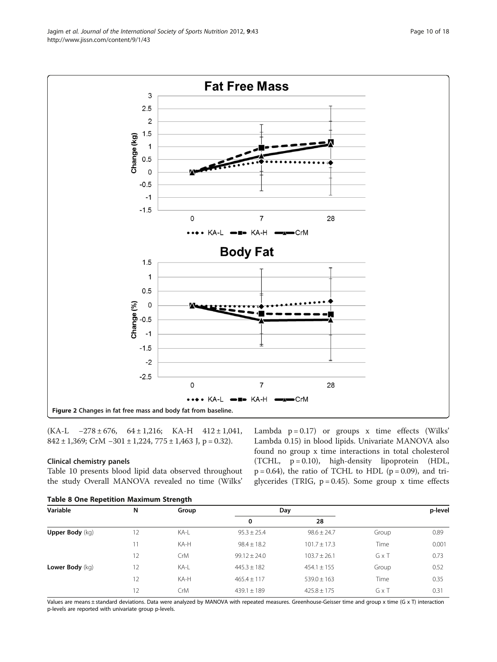(KA-L −278 ± 676, 64 ± 1,216; KA-H 412 ± 1,041, 842 ± 1,369; CrM −301 ± 1,224, 775 ± 1,463 J, p = 0.32).

#### Clinical chemistry panels

Table [10](#page-11-0) presents blood lipid data observed throughout the study Overall MANOVA revealed no time (Wilks'



Lambda  $p = 0.17$ ) or groups x time effects (Wilks' Lambda 0.15) in blood lipids. Univariate MANOVA also found no group x time interactions in total cholesterol (TCHL, p = 0.10), high-density lipoprotein (HDL,  $p = 0.64$ ), the ratio of TCHL to HDL ( $p = 0.09$ ), and triglycerides (TRIG,  $p = 0.45$ ). Some group x time effects

| <b>Upper Body</b> (kg) | 12 | KA-L | $95.3 \pm 25.4$  | $98.6 \pm 24.7$  | Group | 0.89  |
|------------------------|----|------|------------------|------------------|-------|-------|
|                        |    | KA-H | $98.4 + 18.2$    | $101.7 \pm 17.3$ | Time  | 0.001 |
|                        | 12 | CrM  | $99.12 \pm 24.0$ | $103.7 \pm 26.1$ | GxT   | 0.73  |
| Lower Body (kg)        | 12 | KA-L | $445.3 \pm 182$  | $454.1 \pm 155$  | Group | 0.52  |
|                        | 12 | KA-H | $465.4 \pm 117$  | $539.0 \pm 163$  | Time  | 0.35  |
|                        | 12 | CrM  | $439.1 \pm 189$  | $425.8 \pm 175$  | GxT   | 0.31  |
|                        |    |      |                  |                  |       |       |

Variable N Group Day p-level

0 28

Values are means ± standard deviations. Data were analyzed by MANOVA with repeated measures. Greenhouse-Geisser time and group x time (G x T) interaction p-levels are reported with univariate group p-levels.

<span id="page-9-0"></span>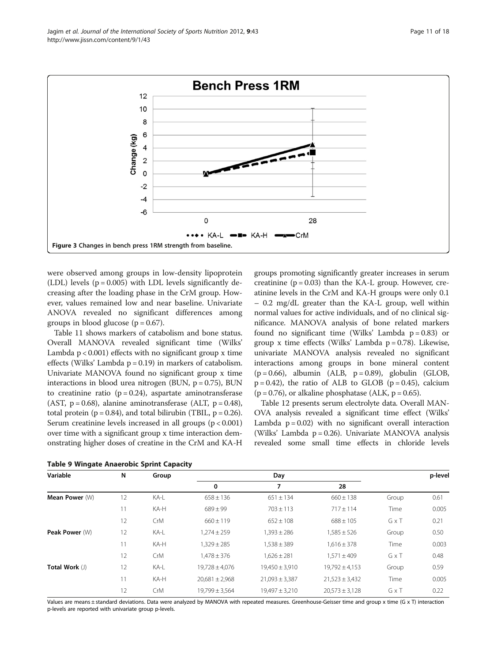<span id="page-10-0"></span>

were observed among groups in low-density lipoprotein (LDL) levels  $(p = 0.005)$  with LDL levels significantly decreasing after the loading phase in the CrM group. However, values remained low and near baseline. Univariate ANOVA revealed no significant differences among groups in blood glucose  $(p = 0.67)$ .

Table [11](#page-12-0) shows markers of catabolism and bone status. Overall MANOVA revealed significant time (Wilks' Lambda  $p < 0.001$ ) effects with no significant group x time effects (Wilks' Lambda  $p = 0.19$ ) in markers of catabolism. Univariate MANOVA found no significant group x time interactions in blood urea nitrogen (BUN,  $p = 0.75$ ), BUN to creatinine ratio  $(p = 0.24)$ , aspartate aminotransferase (AST,  $p = 0.68$ ), alanine aminotransferase (ALT,  $p = 0.48$ ), total protein ( $p = 0.84$ ), and total bilirubin (TBIL,  $p = 0.26$ ). Serum creatinine levels increased in all groups  $(p < 0.001)$ over time with a significant group x time interaction demonstrating higher doses of creatine in the CrM and KA-H

| creatinine ( $p = 0.03$ ) than the KA-L group. However, cre-   |
|----------------------------------------------------------------|
| atinine levels in the CrM and KA-H groups were only 0.1        |
| - 0.2 mg/dL greater than the KA-L group, well within           |
| normal values for active individuals, and of no clinical sig-  |
| nificance. MANOVA analysis of bone related markers             |
| found no significant time (Wilks' Lambda $p = 0.83$ ) or       |
| group x time effects (Wilks' Lambda $p = 0.78$ ). Likewise,    |
| univariate MANOVA analysis revealed no significant             |
| interactions among groups in bone mineral content              |
| $(p = 0.66)$ , albumin (ALB, $p = 0.89$ ), globulin (GLOB,     |
| $p = 0.42$ ), the ratio of ALB to GLOB ( $p = 0.45$ ), calcium |
| $(p = 0.76)$ , or alkaline phosphatase (ALK, $p = 0.65$ ).     |
|                                                                |

groups promoting significantly greater increases in serum

Table [12](#page-13-0) presents serum electrolyte data. Overall MAN-OVA analysis revealed a significant time effect (Wilks' Lambda  $p = 0.02$ ) with no significant overall interaction (Wilks' Lambda p = 0.26). Univariate MANOVA analysis revealed some small time effects in chloride levels

| Variable       | N  | Group |                    | Day                |                    |       | p-level |
|----------------|----|-------|--------------------|--------------------|--------------------|-------|---------|
|                |    |       | 0                  | 7                  | 28                 |       |         |
| Mean Power (W) | 12 | KA-L  | $658 \pm 136$      | $651 \pm 134$      | $660 \pm 138$      | Group | 0.61    |
|                | 11 | KA-H  | $689 \pm 99$       | $703 \pm 113$      | $717 \pm 114$      | Time  | 0.005   |
|                | 12 | CrM   | $660 \pm 119$      | $652 \pm 108$      | $688 \pm 105$      | GxT   | 0.21    |
| Peak Power (W) | 12 | KA-L  | $1,274 \pm 259$    | $1.393 \pm 286$    | $1,585 \pm 526$    | Group | 0.50    |
|                | 11 | KA-H  | $1,329 \pm 285$    | $1.538 \pm 389$    | $1,616 \pm 378$    | Time  | 0.003   |
|                | 12 | CrM   | $1.478 \pm 376$    | $1.626 \pm 281$    | $1.571 \pm 409$    | GxT   | 0.48    |
| Total Work (J) | 12 | KA-L  | $19,728 \pm 4,076$ | $19,450 \pm 3,910$ | $19,792 \pm 4,153$ | Group | 0.59    |
|                | 11 | KA-H  | $20,681 \pm 2,968$ | $21,093 \pm 3,387$ | $21,523 \pm 3,432$ | Time  | 0.005   |
|                | 12 | CrM   | $19,799 \pm 3,564$ | $19,497 \pm 3,210$ | $20,573 \pm 3,128$ | GxT   | 0.22    |

Table 9 Wingate Anaerobic Sprint Capacity

Values are means ± standard deviations. Data were analyzed by MANOVA with repeated measures. Greenhouse-Geisser time and group x time (G x T) interaction p-levels are reported with univariate group p-levels.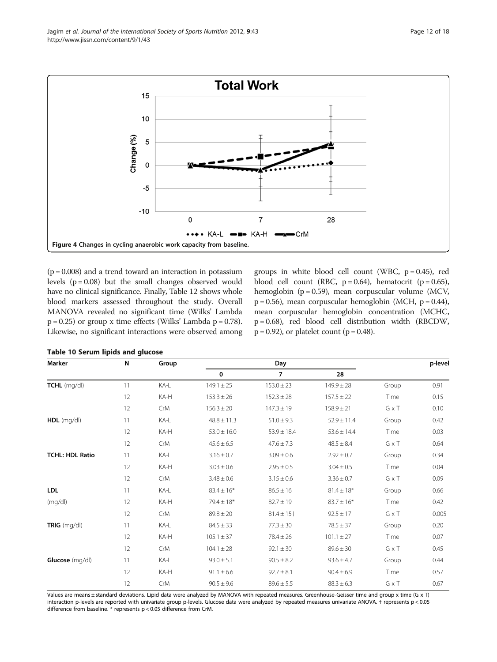<span id="page-11-0"></span>

 $(p = 0.008)$  and a trend toward an interaction in potassium levels  $(p = 0.08)$  but the small changes observed would have no clinical significance. Finally, Table [12](#page-13-0) shows whole blood markers assessed throughout the study. Overall MANOVA revealed no significant time (Wilks' Lambda  $p = 0.25$ ) or group x time effects (Wilks' Lambda  $p = 0.78$ ). Likewise, no significant interactions were observed among groups in white blood cell count (WBC,  $p = 0.45$ ), red blood cell count (RBC,  $p = 0.64$ ), hematocrit ( $p = 0.65$ ), hemoglobin (p = 0.59), mean corpuscular volume (MCV,  $p = 0.56$ ), mean corpuscular hemoglobin (MCH,  $p = 0.44$ ), mean corpuscular hemoglobin concentration (MCHC, p = 0.68), red blood cell distribution width (RBCDW,  $p = 0.92$ ), or platelet count ( $p = 0.48$ ).

| Marker                 | N  | Group |                 | Day                        |                 |       | p-level |
|------------------------|----|-------|-----------------|----------------------------|-----------------|-------|---------|
|                        |    |       | 0               | 7                          | 28              |       |         |
| $TCHL$ (mg/dl)         | 11 | KA-L  | $149.1 \pm 25$  | $153.0 \pm 23$             | $149.9 \pm 28$  | Group | 0.91    |
|                        | 12 | KA-H  | $153.3 \pm 26$  | $152.3 \pm 28$             | $157.5 \pm 22$  | Time  | 0.15    |
|                        | 12 | CrM   | $156.3 \pm 20$  | $147.3 \pm 19$             | $158.9 \pm 21$  | GxT   | 0.10    |
| $HDL$ (mg/dl)          | 11 | KA-L  | $48.8 \pm 11.3$ | $51.0 \pm 9.3$             | $52.9 \pm 11.4$ | Group | 0.42    |
|                        | 12 | KA-H  | $53.0 \pm 16.0$ | $53.9 \pm 18.4$            | $53.6 \pm 14.4$ | Time  | 0.03    |
|                        | 12 | CrM   | $45.6 \pm 6.5$  | $47.6 \pm 7.3$             | $48.5 \pm 8.4$  | GxT   | 0.64    |
| <b>TCHL: HDL Ratio</b> | 11 | KA-L  | $3.16 \pm 0.7$  | $3.09 \pm 0.6$             | $2.92 \pm 0.7$  | Group | 0.34    |
|                        | 12 | KA-H  | $3.03 \pm 0.6$  | $2.95 \pm 0.5$             | $3.04 \pm 0.5$  | Time  | 0.04    |
|                        | 12 | CrM   | $3.48 \pm 0.6$  | $3.15 \pm 0.6$             | $3.36 \pm 0.7$  | GxT   | 0.09    |
| <b>LDL</b>             | 11 | KA-L  | $83.4 \pm 16*$  | $86.5 \pm 16$              | $81.4 \pm 18*$  | Group | 0.66    |
| (mq/dl)                | 12 | KA-H  | $79.4 \pm 18*$  | $82.7 \pm 19$              | $83.7 \pm 16*$  | Time  | 0.42    |
|                        | 12 | CrM   | $89.8 \pm 20$   | $81.4 \pm 15$ <sup>+</sup> | $92.5 \pm 17$   | GxT   | 0.005   |
| $TRIG$ (mg/dl)         | 11 | KA-L  | $84.5 \pm 33$   | $77.3 \pm 30$              | $78.5 \pm 37$   | Group | 0.20    |
|                        | 12 | KA-H  | $105.1 \pm 37$  | $78.4 \pm 26$              | $101.1 \pm 27$  | Time  | 0.07    |
|                        | 12 | CrM   | $104.1 \pm 28$  | $92.1 \pm 30$              | $89.6 \pm 30$   | GxT   | 0.45    |
| Glucose (mg/dl)        | 11 | KA-L  | $93.0 \pm 5.1$  | $90.5 \pm 8.2$             | $93.6 \pm 4.7$  | Group | 0.44    |
|                        | 12 | KA-H  | $91.1 \pm 6.6$  | $92.7 \pm 8.1$             | $90.4 \pm 6.9$  | Time  | 0.57    |
|                        | 12 | CrM   | $90.5 \pm 9.6$  | $89.6 \pm 5.5$             | $88.3 \pm 6.3$  | GxT   | 0.67    |

# Table 10 Serum lipids and glucose

Values are means ± standard deviations. Lipid data were analyzed by MANOVA with repeated measures. Greenhouse-Geisser time and group x time (G x T) interaction p-levels are reported with univariate group p-levels. Glucose data were analyzed by repeated measures univariate ANOVA. † represents p < 0.05 difference from baseline. \* represents p < 0.05 difference from CrM.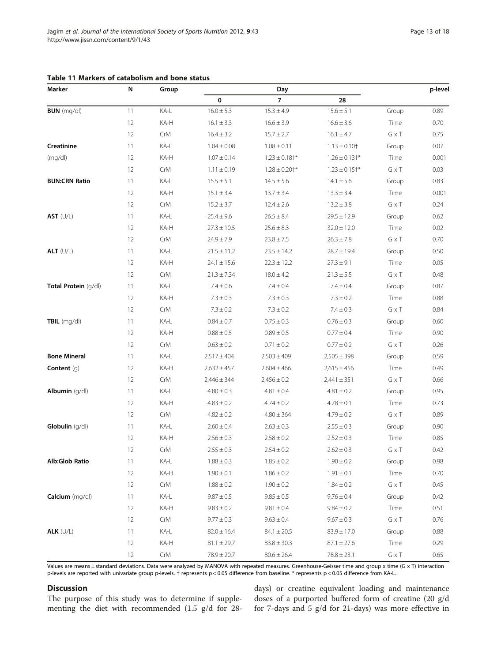| Marker               | Ν       | Group |                 |                    | p-level            |       |       |
|----------------------|---------|-------|-----------------|--------------------|--------------------|-------|-------|
|                      |         |       | 0               | $\overline{7}$     | 28                 |       |       |
| <b>BUN</b> (mg/dl)   | 11      | KA-L  | $16.0 \pm 5.3$  | $15.3 \pm 4.9$     | $15.6 \pm 5.1$     | Group | 0.89  |
|                      | 12      | KA-H  | $16.1 \pm 3.3$  | $16.6 \pm 3.9$     | $16.6 \pm 3.6$     | Time  | 0.70  |
|                      | 12      | CrM   | $16.4 \pm 3.2$  | $15.7 \pm 2.7$     | $16.1 \pm 4.7$     | GxT   | 0.75  |
| Creatinine           | 11      | KA-L  | $1.04 \pm 0.08$ | $1.08 \pm 0.11$    | $1.13 \pm 0.10$    | Group | 0.07  |
| (mg/d)               | 12      | KA-H  | $1.07 \pm 0.14$ | $1.23 \pm 0.18$ †* | $1.26 \pm 0.13$ †* | Time  | 0.001 |
|                      | 12      | CrM   | $1.11 \pm 0.19$ | $1.28 \pm 0.20$ †* | $1.23 \pm 0.15$ †* | GxT   | 0.03  |
| <b>BUN:CRN Ratio</b> | 11      | KA-L  | $15.5 \pm 5.1$  | $14.5 \pm 5.6$     | $14.1 \pm 5.6$     | Group | 0.83  |
|                      | 12      | KA-H  | $15.1 \pm 3.4$  | $13.7 \pm 3.4$     | $13.3 \pm 3.4$     | Time  | 0.001 |
|                      | 12      | CrM   | $15.2 \pm 3.7$  | $12.4 \pm 2.6$     | $13.2 \pm 3.8$     | GxT   | 0.24  |
| $AST$ $(U/L)$        | 11      | KA-L  | $25.4 \pm 9.6$  | $26.5 \pm 8.4$     | $29.5 \pm 12.9$    | Group | 0.62  |
|                      | 12      | KA-H  | $27.3 \pm 10.5$ | $25.6 \pm 8.3$     | $32.0 \pm 12.0$    | Time  | 0.02  |
|                      | 12      | CrM   | $24.9 \pm 7.9$  | $23.8 \pm 7.5$     | $26.3 \pm 7.8$     | GxT   | 0.70  |
| $ALT$ (U/L)          | 11      | KA-L  | $21.5 \pm 11.2$ | $23.5 \pm 14.2$    | $28.7 \pm 19.4$    | Group | 0.50  |
|                      | 12      | KA-H  | $24.1 \pm 15.6$ | $22.3 \pm 12.2$    | $27.3 \pm 9.1$     | Time  | 0.05  |
|                      | 12      | CrM   | $21.3 \pm 7.34$ | $18.0 \pm 4.2$     | $21.3 \pm 5.5$     | GxT   | 0.48  |
| Total Protein (g/dl) | 11      | KA-L  | $7.4 \pm 0.6$   | $7.4 \pm 0.4$      | $7.4 \pm 0.4$      | Group | 0.87  |
|                      | 12      | KA-H  | $7.3 \pm 0.3$   | $7.3 \pm 0.3$      | $7.3 \pm 0.2$      | Time  | 0.88  |
|                      | 12      | CrM   | $7.3 \pm 0.2$   | $7.3 \pm 0.2$      | $7.4 \pm 0.3$      | GxT   | 0.84  |
| $TBIL$ (mg/dl)       | 11      | KA-L  | $0.84 \pm 0.7$  | $0.75 \pm 0.3$     | $0.76 \pm 0.3$     | Group | 0.60  |
|                      | 12      | KA-H  | $0.88 \pm 0.5$  | $0.89 \pm 0.5$     | $0.77 \pm 0.4$     | Time  | 0.90  |
|                      | 12      | CrM   | $0.63 \pm 0.2$  | $0.71 \pm 0.2$     | $0.77 \pm 0.2$     | GxT   | 0.26  |
| <b>Bone Mineral</b>  | 11      | KA-L  | $2,517 \pm 404$ | $2,503 \pm 409$    | $2,505 \pm 398$    | Group | 0.59  |
| Content $(q)$        | 12      | KA-H  | $2,632 \pm 457$ | $2,604 \pm 466$    | $2,615 \pm 456$    | Time  | 0.49  |
|                      | 12      | CrM   | $2,446 \pm 344$ | $2,456 \pm 0.2$    | $2,441 \pm 351$    | GxT   | 0.66  |
| Albumin (g/dl)       | 11      | KA-L  | $4.80 \pm 0.3$  | $4.81 \pm 0.4$     | $4.81 \pm 0.2$     | Group | 0.95  |
|                      | 12      | KA-H  | $4.83 \pm 0.2$  | $4.74 \pm 0.2$     | $4.78 \pm 0.1$     | Time  | 0.73  |
|                      | 12      | CrM   | $4.82 \pm 0.2$  | $4.80 \pm 364$     | $4.79 \pm 0.2$     | GxT   | 0.89  |
| Globulin (g/dl)      | 11      | KA-L  | $2.60 \pm 0.4$  | $2.63 \pm 0.3$     | $2.55 \pm 0.3$     | Group | 0.90  |
|                      | 12      | KA-H  | $2.56 \pm 0.3$  | $2.58 \pm 0.2$     | $2.52 \pm 0.3$     | Time  | 0.85  |
|                      | 12      | CrM   | $2.55 \pm 0.3$  | $2.54 \pm 0.2$     | $2.62 \pm 0.3$     | GxT   | 0.42  |
| Alb:Glob Ratio       | 11      | KA-L  | $1.88 \pm 0.3$  | $1.85 \pm 0.2$     | $1.90 \pm 0.2$     | Group | 0.98  |
|                      | 12      | KA-H  | $1.90 \pm 0.1$  | $1.86 \pm 0.2$     | $1.91 \pm 0.1$     | Time  | 0.70  |
|                      | 12      | CrM   | $1.88 \pm 0.2$  | $1.90 \pm 0.2$     | $1.84 \pm 0.2$     | GxT   | 0.45  |
| Calcium (mg/dl)      | 11      | KA-L  | $9.87 \pm 0.5$  | $9.85 \pm 0.5$     | $9.76 \pm 0.4$     | Group | 0.42  |
|                      | 12      | KA-H  | $9.83 \pm 0.2$  | $9.81 \pm 0.4$     | $9.84 \pm 0.2$     | Time  | 0.51  |
|                      | 12      | CrM   | $9.77 \pm 0.3$  | $9.63 \pm 0.4$     | $9.67 \pm 0.3$     | GxT   | 0.76  |
| $ALK$ (U/L)          | 11      | KA-L  | $82.0 \pm 16.4$ | $84.1 \pm 20.5$    | $83.9 \pm 17.0$    | Group | 0.88  |
|                      | 12      | KA-H  | $81.1 \pm 29.7$ | $83.8 \pm 30.3$    | $87.1 \pm 27.6$    | Time  | 0.29  |
|                      | $12 \,$ | CrM   | $78.9 \pm 20.7$ | $80.6 \pm 26.4$    | $78.8 \pm 23.1$    | G x T | 0.65  |

# <span id="page-12-0"></span>Table 11 Markers of catabolism and bone status

Values are means ± standard deviations. Data were analyzed by MANOVA with repeated measures. Greenhouse-Geisser time and group x time (G x T) interaction p-levels are reported with univariate group p-levels. † represents p < 0.05 difference from baseline. \* represents p < 0.05 difference from KA-L.

#### **Discussion**

The purpose of this study was to determine if supplementing the diet with recommended (1.5 g/d for 28days) or creatine equivalent loading and maintenance doses of a purported buffered form of creatine (20 g/d for 7-days and 5 g/d for 21-days) was more effective in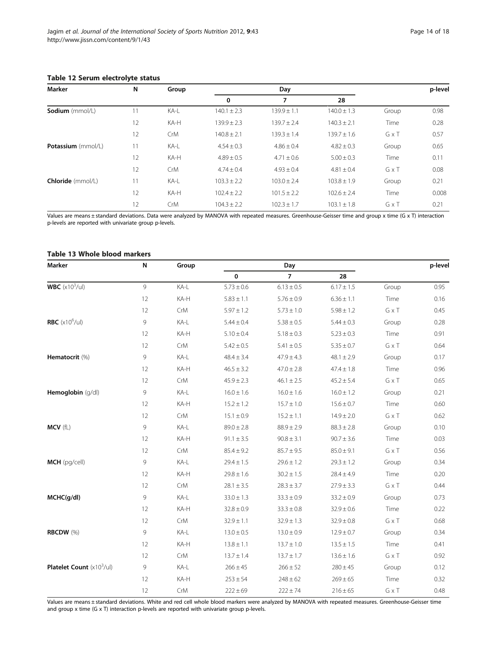| Marker                    | N  | Group      | Day             |                 |                 |              | p-level |
|---------------------------|----|------------|-----------------|-----------------|-----------------|--------------|---------|
|                           |    |            | 0               | 7               | 28              |              |         |
| Sodium (mmol/L)           | 11 | KA-L       | $140.1 \pm 2.3$ | $139.9 \pm 1.1$ | $140.0 \pm 1.3$ | Group        | 0.98    |
|                           | 12 | KA-H       | $139.9 \pm 2.3$ | $139.7 \pm 2.4$ | $140.3 \pm 2.1$ | Time         | 0.28    |
|                           | 12 | CrM        | $140.8 \pm 2.1$ | $139.3 \pm 1.4$ | $139.7 \pm 1.6$ | GxT          | 0.57    |
| <b>Potassium</b> (mmol/L) | 11 | KA-L       | $4.54 \pm 0.3$  | $4.86 \pm 0.4$  | $4.82 \pm 0.3$  | Group        | 0.65    |
|                           | 12 | KA-H       | $4.89 + 0.5$    | $4.71 \pm 0.6$  | $5.00 \pm 0.3$  | Time         | 0.11    |
|                           | 12 | CrM        | $4.74 \pm 0.4$  | $4.93 \pm 0.4$  | $4.81 \pm 0.4$  | GxT          | 0.08    |
| Chloride (mmol/L)         | 11 | KA-L       | $103.3 \pm 2.2$ | $103.0 + 2.4$   | $103.8 \pm 1.9$ | Group        | 0.21    |
|                           | 12 | KA-H       | $102.4 \pm 2.2$ | $101.5 \pm 2.2$ | $102.6 \pm 2.4$ | Time         | 0.008   |
|                           | 12 | <b>CrM</b> | $104.3 \pm 2.2$ | $102.3 \pm 1.7$ | $103.1 \pm 1.8$ | $G \times T$ | 0.21    |

# <span id="page-13-0"></span>Table 12 Serum electrolyte status

Values are means ± standard deviations. Data were analyzed by MANOVA with repeated measures. Greenhouse-Geisser time and group x time (G x T) interaction p-levels are reported with univariate group p-levels.

#### Table 13 Whole blood markers

| Marker                                    | N  | Group | Day            |                |                |       | p-level |
|-------------------------------------------|----|-------|----------------|----------------|----------------|-------|---------|
|                                           |    |       | 0              | $\overline{7}$ | 28             |       |         |
| <b>WBC</b> $(x10^3/\text{ul})$            | 9  | KA-L  | $5.73 \pm 0.6$ | $6.13 \pm 0.5$ | $6.17 \pm 1.5$ | Group | 0.95    |
|                                           | 12 | KA-H  | $5.83 \pm 1.1$ | $5.76 \pm 0.9$ | $6.36 \pm 1.1$ | Time  | 0.16    |
|                                           | 12 | CrM   | $5.97 \pm 1.2$ | $5.73 \pm 1.0$ | $5.98 \pm 1.2$ | GxT   | 0.45    |
| RBC $(x10^6/\text{ul})$                   | 9  | KA-L  | $5.44 \pm 0.4$ | $5.38 \pm 0.5$ | $5.44 \pm 0.3$ | Group | 0.28    |
|                                           | 12 | KA-H  | $5.10 \pm 0.4$ | $5.18 \pm 0.3$ | $5.23 \pm 0.3$ | Time  | 0.91    |
|                                           | 12 | CrM   | $5.42 \pm 0.5$ | $5.41 \pm 0.5$ | $5.35 \pm 0.7$ | GxT   | 0.64    |
| Hematocrit (%)                            | 9  | KA-L  | $48.4 \pm 3.4$ | $47.9 \pm 4.3$ | $48.1 \pm 2.9$ | Group | 0.17    |
|                                           | 12 | KA-H  | $46.5 \pm 3.2$ | $47.0 \pm 2.8$ | $47.4 \pm 1.8$ | Time  | 0.96    |
|                                           | 12 | CrM   | $45.9 \pm 2.3$ | $46.1 \pm 2.5$ | $45.2 \pm 5.4$ | GxT   | 0.65    |
| Hemoglobin (g/dl)                         | 9  | KA-L  | $16.0 \pm 1.6$ | $16.0 \pm 1.6$ | $16.0 \pm 1.2$ | Group | 0.21    |
|                                           | 12 | KA-H  | $15.2 \pm 1.2$ | $15.7 \pm 1.0$ | $15.6 \pm 0.7$ | Time  | 0.60    |
|                                           | 12 | CrM   | $15.1 \pm 0.9$ | $15.2 \pm 1.1$ | $14.9 \pm 2.0$ | GxT   | 0.62    |
| MCV (fL)                                  | 9  | KA-L  | $89.0 \pm 2.8$ | $88.9 \pm 2.9$ | $88.3 \pm 2.8$ | Group | 0.10    |
|                                           | 12 | KA-H  | $91.1 \pm 3.5$ | $90.8 \pm 3.1$ | $90.7 \pm 3.6$ | Time  | 0.03    |
|                                           | 12 | CrM   | $85.4 \pm 9.2$ | $85.7 \pm 9.5$ | $85.0 \pm 9.1$ | GxT   | 0.56    |
| MCH (pg/cell)                             | 9  | KA-L  | $29.4 \pm 1.5$ | $29.6 \pm 1.2$ | $29.3 \pm 1.2$ | Group | 0.34    |
|                                           | 12 | KA-H  | $29.8 \pm 1.6$ | $30.2 \pm 1.5$ | $28.4 \pm 4.9$ | Time  | 0.20    |
|                                           | 12 | CrM   | $28.1 \pm 3.5$ | $28.3 \pm 3.7$ | $27.9 \pm 3.3$ | GxT   | 0.44    |
| MCHC(g/dl)                                | 9  | KA-L  | $33.0 \pm 1.3$ | $33.3 \pm 0.9$ | $33.2 \pm 0.9$ | Group | 0.73    |
|                                           | 12 | KA-H  | $32.8 \pm 0.9$ | $33.3 \pm 0.8$ | $32.9 \pm 0.6$ | Time  | 0.22    |
|                                           | 12 | CrM   | $32.9 \pm 1.1$ | $32.9 \pm 1.3$ | $32.9 \pm 0.8$ | GxT   | 0.68    |
| RBCDW (%)                                 | 9  | KA-L  | $13.0 \pm 0.5$ | $13.0 \pm 0.9$ | $12.9 \pm 0.7$ | Group | 0.34    |
|                                           | 12 | KA-H  | $13.8 \pm 1.1$ | $13.7 \pm 1.0$ | $13.5 \pm 1.5$ | Time  | 0.41    |
|                                           | 12 | CrM   | $13.7 \pm 1.4$ | $13.7 \pm 1.7$ | $13.6 \pm 1.6$ | GxT   | 0.92    |
| <b>Platelet Count</b> $(x10^3/\text{ul})$ | 9  | KA-L  | $266 \pm 45$   | $266 \pm 52$   | $280 \pm 45$   | Group | 0.12    |
|                                           | 12 | KA-H  | $253 \pm 54$   | $248 \pm 62$   | $269 \pm 65$   | Time  | 0.32    |
|                                           | 12 | CrM   | $222 \pm 69$   | $222 \pm 74$   | $216 \pm 65$   | GxT   | 0.48    |

Values are means ± standard deviations. White and red cell whole blood markers were analyzed by MANOVA with repeated measures. Greenhouse-Geisser time and group x time (G x T) interaction p-levels are reported with univariate group p-levels.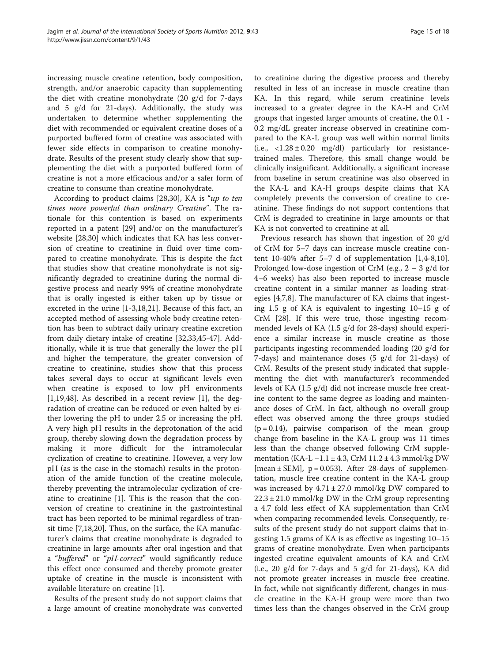increasing muscle creatine retention, body composition, strength, and/or anaerobic capacity than supplementing the diet with creatine monohydrate (20 g/d for 7-days and 5 g/d for 21-days). Additionally, the study was undertaken to determine whether supplementing the diet with recommended or equivalent creatine doses of a purported buffered form of creatine was associated with fewer side effects in comparison to creatine monohydrate. Results of the present study clearly show that supplementing the diet with a purported buffered form of creatine is not a more efficacious and/or a safer form of creatine to consume than creatine monohydrate.

According to product claims [[28,30\]](#page-16-0), KA is "up to ten times more powerful than ordinary Creatine". The rationale for this contention is based on experiments reported in a patent [[29](#page-16-0)] and/or on the manufacturer's website [\[28,30](#page-16-0)] which indicates that KA has less conversion of creatine to creatinine in fluid over time compared to creatine monohydrate. This is despite the fact that studies show that creatine monohydrate is not significantly degraded to creatinine during the normal digestive process and nearly 99% of creatine monohydrate that is orally ingested is either taken up by tissue or excreted in the urine [\[1](#page-16-0)-[3,18,21\]](#page-16-0). Because of this fact, an accepted method of assessing whole body creatine retention has been to subtract daily urinary creatine excretion from daily dietary intake of creatine [[32,33](#page-16-0)[,45](#page-17-0)-[47\]](#page-17-0). Additionally, while it is true that generally the lower the pH and higher the temperature, the greater conversion of creatine to creatinine, studies show that this process takes several days to occur at significant levels even when creatine is exposed to low pH environments  $[1,19,48]$  $[1,19,48]$  $[1,19,48]$ . As described in a recent review  $[1]$  $[1]$ , the degradation of creatine can be reduced or even halted by either lowering the pH to under 2.5 or increasing the pH. A very high pH results in the deprotonation of the acid group, thereby slowing down the degradation process by making it more difficult for the intramolecular cyclization of creatine to creatinine. However, a very low pH (as is the case in the stomach) results in the protonation of the amide function of the creatine molecule, thereby preventing the intramolecular cyclization of creatine to creatinine [\[1](#page-16-0)]. This is the reason that the conversion of creatine to creatinine in the gastrointestinal tract has been reported to be minimal regardless of transit time [\[7](#page-16-0),[18,20](#page-16-0)]. Thus, on the surface, the KA manufacturer's claims that creatine monohydrate is degraded to creatinine in large amounts after oral ingestion and that a "buffered" or "pH-correct" would significantly reduce this effect once consumed and thereby promote greater uptake of creatine in the muscle is inconsistent with available literature on creatine [[1\]](#page-16-0).

Results of the present study do not support claims that a large amount of creatine monohydrate was converted

to creatinine during the digestive process and thereby resulted in less of an increase in muscle creatine than KA. In this regard, while serum creatinine levels increased to a greater degree in the KA-H and CrM groups that ingested larger amounts of creatine, the 0.1 - 0.2 mg/dL greater increase observed in creatinine compared to the KA-L group was well within normal limits (i.e.,  $\langle 1.28 \pm 0.20 \rangle$  mg/dl) particularly for resistancetrained males. Therefore, this small change would be clinically insignificant. Additionally, a significant increase from baseline in serum creatinine was also observed in the KA-L and KA-H groups despite claims that KA completely prevents the conversion of creatine to creatinine. These findings do not support contentions that CrM is degraded to creatinine in large amounts or that KA is not converted to creatinine at all.

Previous research has shown that ingestion of 20 g/d of CrM for 5–7 days can increase muscle creatine content 10-40% after 5–7 d of supplementation [[1,4-8,10](#page-16-0)]. Prolonged low-dose ingestion of CrM (e.g.,  $2 - 3$  g/d for 4–6 weeks) has also been reported to increase muscle creatine content in a similar manner as loading strategies [[4,7,8\]](#page-16-0). The manufacturer of KA claims that ingesting 1.5 g of KA is equivalent to ingesting 10–15 g of CrM [\[28](#page-16-0)]. If this were true, those ingesting recommended levels of KA (1.5 g/d for 28-days) should experience a similar increase in muscle creatine as those participants ingesting recommended loading (20 g/d for 7-days) and maintenance doses (5 g/d for 21-days) of CrM. Results of the present study indicated that supplementing the diet with manufacturer's recommended levels of KA (1.5 g/d) did not increase muscle free creatine content to the same degree as loading and maintenance doses of CrM. In fact, although no overall group effect was observed among the three groups studied  $(p = 0.14)$ , pairwise comparison of the mean group change from baseline in the KA-L group was 11 times less than the change observed following CrM supplementation (KA-L −1.1 ± 4.3, CrM 11.2 ± 4.3 mmol/kg DW [mean  $\pm$  SEM], p = 0.053). After 28-days of supplementation, muscle free creatine content in the KA-L group was increased by  $4.71 \pm 27.0$  mmol/kg DW compared to  $22.3 \pm 21.0$  mmol/kg DW in the CrM group representing a 4.7 fold less effect of KA supplementation than CrM when comparing recommended levels. Consequently, results of the present study do not support claims that ingesting 1.5 grams of KA is as effective as ingesting 10–15 grams of creatine monohydrate. Even when participants ingested creatine equivalent amounts of KA and CrM (i.e., 20  $g/d$  for 7-days and 5  $g/d$  for 21-days), KA did not promote greater increases in muscle free creatine. In fact, while not significantly different, changes in muscle creatine in the KA-H group were more than two times less than the changes observed in the CrM group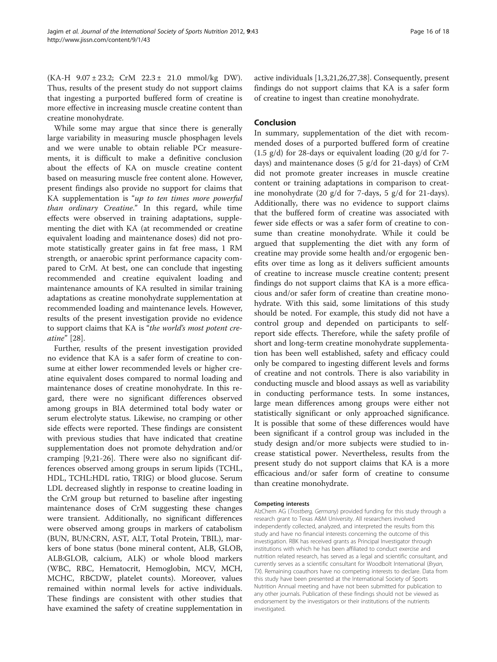$(KA-H 9.07 \pm 23.2;$  CrM  $22.3 \pm 21.0$  mmol/kg DW). Thus, results of the present study do not support claims that ingesting a purported buffered form of creatine is more effective in increasing muscle creatine content than creatine monohydrate.

While some may argue that since there is generally large variability in measuring muscle phosphagen levels and we were unable to obtain reliable PCr measurements, it is difficult to make a definitive conclusion about the effects of KA on muscle creatine content based on measuring muscle free content alone. However, present findings also provide no support for claims that KA supplementation is "up to ten times more powerful than ordinary Creatine." In this regard, while time effects were observed in training adaptations, supplementing the diet with KA (at recommended or creatine equivalent loading and maintenance doses) did not promote statistically greater gains in fat free mass, 1 RM strength, or anaerobic sprint performance capacity compared to CrM. At best, one can conclude that ingesting recommended and creatine equivalent loading and maintenance amounts of KA resulted in similar training adaptations as creatine monohydrate supplementation at recommended loading and maintenance levels. However, results of the present investigation provide no evidence to support claims that KA is "the world's most potent creatine" [[28\]](#page-16-0).

Further, results of the present investigation provided no evidence that KA is a safer form of creatine to consume at either lower recommended levels or higher creatine equivalent doses compared to normal loading and maintenance doses of creatine monohydrate. In this regard, there were no significant differences observed among groups in BIA determined total body water or serum electrolyte status. Likewise, no cramping or other side effects were reported. These findings are consistent with previous studies that have indicated that creatine supplementation does not promote dehydration and/or cramping [[9,21-26](#page-16-0)]. There were also no significant differences observed among groups in serum lipids (TCHL, HDL, TCHL:HDL ratio, TRIG) or blood glucose. Serum LDL decreased slightly in response to creatine loading in the CrM group but returned to baseline after ingesting maintenance doses of CrM suggesting these changes were transient. Additionally, no significant differences were observed among groups in markers of catabolism (BUN, BUN:CRN, AST, ALT, Total Protein, TBIL), markers of bone status (bone mineral content, ALB, GLOB, ALB:GLOB, calcium, ALK) or whole blood markers (WBC, RBC, Hematocrit, Hemoglobin, MCV, MCH, MCHC, RBCDW, platelet counts). Moreover, values remained within normal levels for active individuals. These findings are consistent with other studies that have examined the safety of creatine supplementation in active individuals [\[1,3](#page-16-0),[21,26,27](#page-16-0)[,38](#page-17-0)]. Consequently, present findings do not support claims that KA is a safer form of creatine to ingest than creatine monohydrate.

# Conclusion

In summary, supplementation of the diet with recommended doses of a purported buffered form of creatine  $(1.5 \text{ g/d})$  for 28-days or equivalent loading  $(20 \text{ g/d})$  for 7days) and maintenance doses (5 g/d for 21-days) of CrM did not promote greater increases in muscle creatine content or training adaptations in comparison to creatine monohydrate (20 g/d for 7-days, 5 g/d for 21-days). Additionally, there was no evidence to support claims that the buffered form of creatine was associated with fewer side effects or was a safer form of creatine to consume than creatine monohydrate. While it could be argued that supplementing the diet with any form of creatine may provide some health and/or ergogenic benefits over time as long as it delivers sufficient amounts of creatine to increase muscle creatine content; present findings do not support claims that KA is a more efficacious and/or safer form of creatine than creatine monohydrate. With this said, some limitations of this study should be noted. For example, this study did not have a control group and depended on participants to selfreport side effects. Therefore, while the safety profile of short and long-term creatine monohydrate supplementation has been well established, safety and efficacy could only be compared to ingesting different levels and forms of creatine and not controls. There is also variability in conducting muscle and blood assays as well as variability in conducting performance tests. In some instances, large mean differences among groups were either not statistically significant or only approached significance. It is possible that some of these differences would have been significant if a control group was included in the study design and/or more subjects were studied to increase statistical power. Nevertheless, results from the present study do not support claims that KA is a more efficacious and/or safer form of creatine to consume than creatine monohydrate.

#### Competing interests

AlzChem AG (Trostberg, Germany) provided funding for this study through a research grant to Texas A&M University. All researchers involved independently collected, analyzed, and interpreted the results from this study and have no financial interests concerning the outcome of this investigation. RBK has received grants as Principal Investigator through institutions with which he has been affiliated to conduct exercise and nutrition related research, has served as a legal and scientific consultant, and currently serves as a scientific consultant for Woodbolt International (Bryan, TX). Remaining coauthors have no competing interests to declare. Data from this study have been presented at the International Society of Sports Nutrition Annual meeting and have not been submitted for publication to any other journals. Publication of these findings should not be viewed as endorsement by the investigators or their institutions of the nutrients investigated.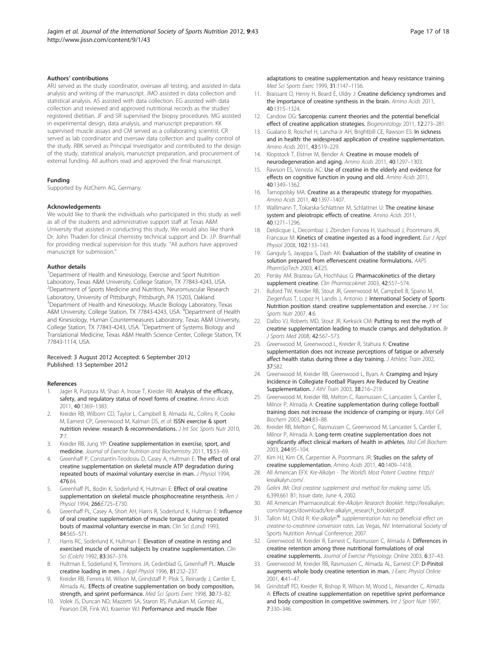#### <span id="page-16-0"></span>Authors' contributions

ARJ served as the study coordinator, oversaw all testing, and assisted in data analysis and writing of the manuscript. JMO assisted in data collection and statistical analysis. AS assisted with data collection. EG assisted with data collection and reviewed and approved nutritional records as the studies' registered dietitian. JF and SR supervised the biopsy procedures. MG assisted in experimental design, data analysis, and manuscript preparation. KK supervised muscle assays and CM served as a collaborating scientist. CR served as lab coordinator and oversaw data collection and quality control of the study. RBK served as Principal Investigator and contributed to the design of the study, statistical analysis, manuscript preparation, and procurement of external funding. All authors read and approved the final manuscript.

#### Funding

Supported by AlzChem AG, Germany.

#### Acknowledgements

We would like to thank the individuals who participated in this study as well as all of the students and administrative support staff at Texas A&M University that assisted in conducting this study. We would also like thank Dr. John Thaden for clinical chemistry technical support and Dr. J.P. Bramhall for providing medical supervision for this study. "All authors have approved manuscript for submission."

#### Author details

<sup>1</sup>Department of Health and Kinesiology, Exercise and Sport Nutrition Laboratory, Texas A&M University, College Station, TX 77843-4243, USA. <sup>2</sup> Department of Sports Medicine and Nutrition, Neuromuscular Research Laboratory, University of Pittsburgh, Pittsburgh, PA 15203, Oakland. <sup>3</sup>Department of Health and Kinesiology, Muscle Biology Laboratory, Texas<br>A&M University, College Station, TX 77843-4243, USA. <sup>4</sup>Department of Health and Kinesiology, Human Countermeasures Laboratory, Texas A&M University, College Station, TX 77843-4243, USA. <sup>5</sup>Department of Systems Biology and Translational Medicine, Texas A&M Health Science Center, College Station, TX 77843-1114, USA.

#### Received: 3 August 2012 Accepted: 6 September 2012 Published: 13 September 2012

#### References

- 1. Jager R, Purpura M, Shao A, Inoue T, Kreider RB: Analysis of the efficacy, safety, and regulatory status of novel forms of creatine. Amino Acids 2011, 40:1369–1383.
- 2. Kreider RB, Wilborn CD, Taylor L, Campbell B, Almada AL, Collins R, Cooke M, Earnest CP, Greenwood M, Kalman DS, et al: ISSN exercise & sport nutrition review: research & recommendations. J Int Soc Sports Nutr 2010, 7:7.
- 3. Kreider RB, Jung YP: Creatine supplementation in exercise, sport, and medicine. Journal of Exercise Nutrition and Biochemistry 2011, 15:53–69.
- 4. Greenhaff P, Constantin-Teodosiu D, Casey A, Hultman E: The effect of oral creatine supplementation on skeletal muscle ATP degradation during repeated bouts of maximal voluntary exercise in man. J Physiol 1994, 476:84.
- 5. Greenhaff PL, Bodin K, Soderlund K, Hultman E: Effect of oral creatine supplementation on skeletal muscle phosphocreatine resynthesis. Am J Physiol 1994, 266:E725–E730.
- 6. Greenhaff PL, Casey A, Short AH, Harris R, Soderlund K, Hultman E: Influence of oral creatine supplementation of muscle torque during repeated bouts of maximal voluntary exercise in man. Clin Sci (Lond) 1993, 84:565–571.
- 7. Harris RC, Soderlund K, Hultman E: Elevation of creatine in resting and exercised muscle of normal subjects by creatine supplementation. Clin Sci (Colch) 1992, 83:367–374.
- 8. Hultman E, Soderlund K, Timmons JA, Cederblad G, Greenhaff PL: Muscle creatine loading in men. J Appl Physiol 1996, 81:232–237.
- 9. Kreider RB, Ferreira M, Wilson M, Grindstaff P, Plisk S, Reinardy J, Cantler E, Almada AL: Effects of creatine supplementation on body composition, strength, and sprint performance. Med Sci Sports Exerc 1998, 30:73–82.
- 10. Volek JS, Duncan ND, Mazzetti SA, Staron RS, Putukian M, Gomez AL, Pearson DR, Fink WJ, Kraemer WJ: Performance and muscle fiber

adaptations to creatine supplementation and heavy resistance training. Med Sci Sports Exerc 1999, 31:1147–1156.

- 11. Braissant O, Henry H, Beard E, Uldry J: Creatine deficiency syndromes and the importance of creatine synthesis in the brain. Amino Acids 2011, 40:1315–1324.
- 12. Candow DG: Sarcopenia: current theories and the potential beneficial effect of creatine application strategies. Biogerontology 2011, 12:273–281.
- 13. Gualano B, Roschel H, Lancha-Jr AH, Brightbill CE, Rawson ES: In sickness and in health: the widespread application of creatine supplementation. Amino Acids 2011, 43:519–229.
- 14. Klopstock T, Elstner M, Bender A: Creatine in mouse models of neurodegeneration and aging. Amino Acids 2011, 40:1297–1303.
- 15. Rawson ES, Venezia AC: Use of creatine in the elderly and evidence for effects on cognitive function in young and old. Amino Acids 2011, 40:1349–1362.
- 16. Tarnopolsky MA: Creatine as a therapeutic strategy for myopathies. Amino Acids 2011, 40:1397–1407.
- 17. Wallimann T, Tokarska-Schlattner M, Schlattner U: The creatine kinase system and pleiotropic effects of creatine. Amino Acids 2011, 40:1271–1296.
- 18. Deldicque L, Decombaz J, Zbinden Foncea H, Vuichoud J, Poortmans JR, Francaux M: Kinetics of creatine ingested as a food ingredient. Eur J Appl Physiol 2008, 102:133–143.
- 19. Ganguly S, Jayappa S, Dash AK: Evaluation of the stability of creatine in solution prepared from effervescent creatine formulations. AAPS PharmSciTech 2003, 4:E25.
- 20. Persky AM, Brazeau GA, Hochhaus G: Pharmacokinetics of the dietary supplement creatine. Clin Pharmacokinet 2003, 42:557-574.
- 21. Buford TW, Kreider RB, Stout JR, Greenwood M, Campbell B, Spano M, Ziegenfuss T, Lopez H, Landis J, Antonio J: International Society of Sports Nutrition position stand: creatine supplementation and exercise. J Int Soc Sports Nutr 2007, 4:6.
- 22. Dalbo VJ, Roberts MD, Stout JR, Kerksick CM: Putting to rest the myth of creatine supplementation leading to muscle cramps and dehydration. Br J Sports Med 2008, 42:567–573.
- 23. Greenwood M, Greenwood L, Kreider R, Stahura K: Creatine supplementation does not increase perceptions of fatigue or adversely affect health status during three a day training. J Athletic Train 2002, 37:S82.
- 24. Greenwood M, Kreider RB, Greenwood L, Byars A: Cramping and Injury Incidence in Collegiate Football Players Are Reduced by Creatine Supplementation. J Athl Train 2003, 38:216-219.
- 25. Greenwood M, Kreider RB, Melton C, Rasmussen C, Lancaster S, Cantler E, Milnor P, Almada A: Creatine supplementation during college football training does not increase the incidence of cramping or injury. Mol Cell Biochem 2003, 244:83–88.
- 26. Kreider RB, Melton C, Rasmussen C, Greenwood M, Lancaster S, Cantler E, Milnor P, Almada A: Long-term creatine supplementation does not significantly affect clinical markers of health in athletes. Mol Cell Biochem 2003, 244:95–104.
- 27. Kim HJ, Kim CK, Carpentier A, Poortmans JR: Studies on the safety of creatine supplementation. Amino Acids 2011, 40:1409–1418.
- 28. All American EFX: Kre-Alkalyn The World's Most Potent Creatine. [http://](http://krealkalyn.com/) [krealkalyn.com/.](http://krealkalyn.com/)
- 29. Golini JM: Oral creatine supplement and method for making same. US: 6,399,661 B1; Issue date, June 4, 2002.
- 30. All American Pharmaceutical: Kre-Alkalyn Research Booklet. [http://krealkalyn.](http://krealkalyn.com/images/downloads/kre-alkalyn_research_booklet.pdf) [com/images/downloads/kre-alkalyn\\_research\\_booklet.pdf](http://krealkalyn.com/images/downloads/kre-alkalyn_research_booklet.pdf).
- 31. Tallon MJ, Child R: Kre-alkalyn® supplementation has no beneficial effect on creatine-to-creatinine conversion rates. Las Vegas, NV: International Society of Sports Nutrition Annual Conference; 2007.
- 32. Greenwood M, Kreider R, Earnest C, Rasmussen C, Almada A: Differences in creatine retention among three nutritional formulations of oral creatine supplements. Journal of Exercise Physiology: Online 2003, 6:37–43.
- 33. Greenwood M, Kreider RB, Rasmussen C, Almada AL, Earnest CP: D-Pinitol augments whole body creatine retention in man. J Exerc Physiol Online 2001, 4:41–47.
- 34. Grindstaff PD, Kreider R, Bishop R, Wilson M, Wood L, Alexander C, Almada A: Effects of creatine supplementation on repetitive sprint performance and body composition in competitive swimmers. Int J Sport Nutr 1997, 7:330–346.